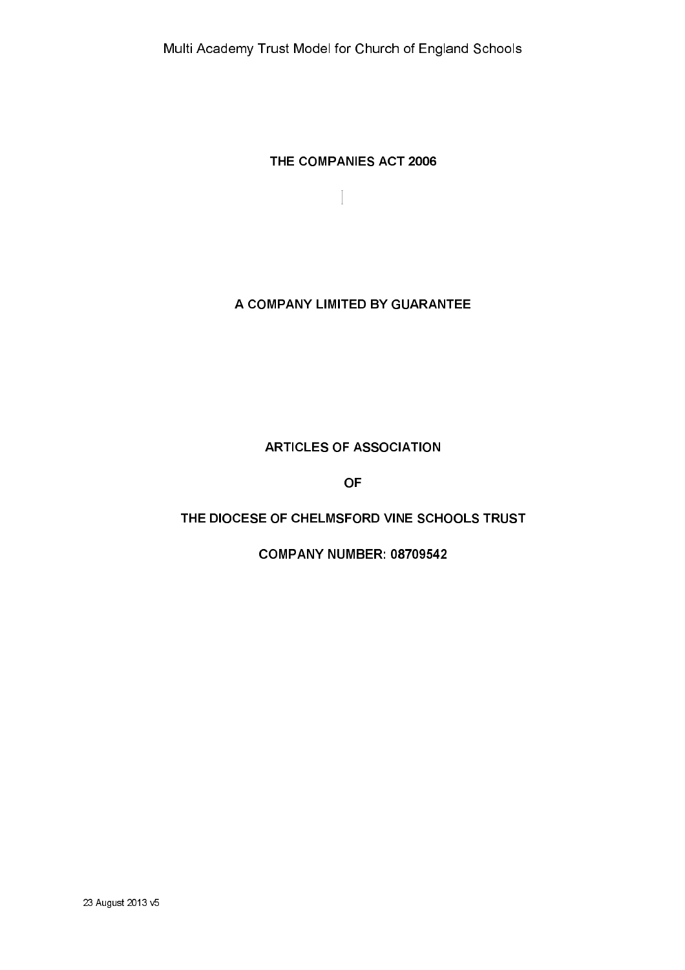## THE COMPANIES ACT 2006

 $\overline{\phantom{a}}$ 

## A COMPANY LIMITED BY GUARANTEE

## **ARTICLES OF ASSOCIATION**

**OF** 

# THE DIOCESE OF CHELMSFORD VINE SCHOOLS TRUST

COMPANY NUMBER: 08709542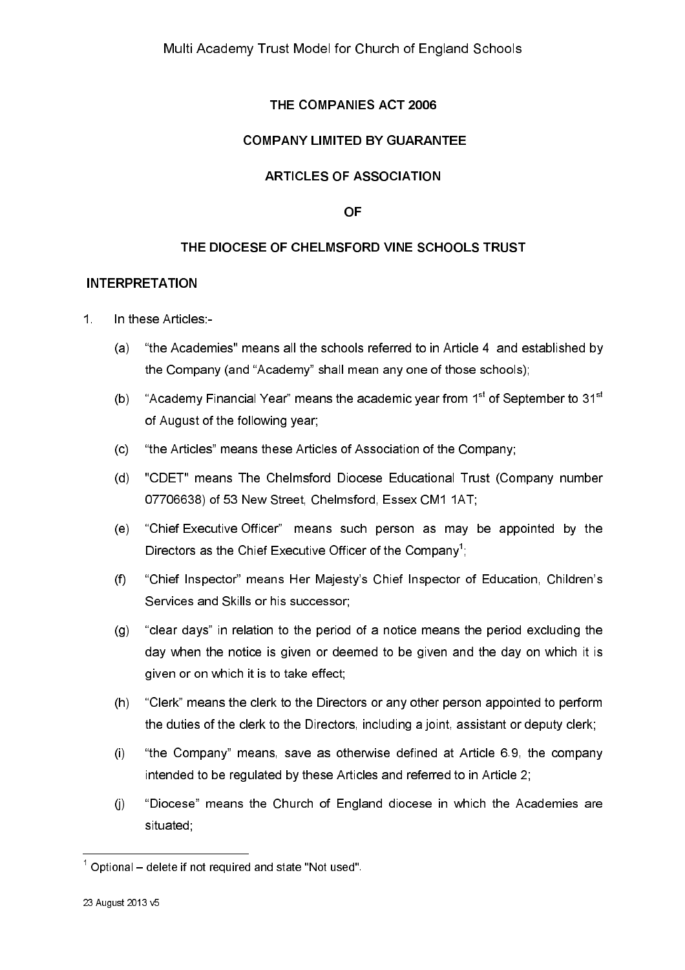# THE COMPANIES ACT 2006

# **COMPANY LIMITED BY GUARANTEE**

# **ARTICLES OF ASSOCIATION**

### OF

# THE DIOCESE OF CHELMSFORD VINE SCHOOLS TRUST

### **INTERPRETATION**

- $1<sup>1</sup>$ In these Articles:-
	- "the Academies" means all the schools referred to in Article 4 and established by  $(a)$ the Company (and "Academy" shall mean any one of those schools);
	- $(b)$ "Academy Financial Year" means the academic vear from 1<sup>st</sup> of September to 31<sup>st</sup> of August of the following year;
	- "the Articles" means these Articles of Association of the Company;  $(c)$
	- "CDET" means The Chelmsford Diocese Educational Trust (Company number  $(d)$ 07706638) of 53 New Street, Chelmsford, Essex CM1 1AT:
	- "Chief Executive Officer" means such person as may be appointed by the  $(e)$ Directors as the Chief Executive Officer of the Company<sup>1</sup>:
	- $(f)$ "Chief Inspector" means Her Majesty's Chief Inspector of Education, Children's Services and Skills or his successor:
	- "clear days" in relation to the period of a notice means the period excluding the  $(q)$ day when the notice is given or deemed to be given and the day on which it is given or on which it is to take effect;
	- "Clerk" means the clerk to the Directors or any other person appointed to perform  $(h)$ the duties of the clerk to the Directors, including a joint, assistant or deputy clerk;
	- "the Company" means, save as otherwise defined at Article 6.9, the company  $(i)$ intended to be regulated by these Articles and referred to in Article 2;
	- "Diocese" means the Church of England diocese in which the Academies are  $(i)$ situated;

 $1$  Optional – delete if not required and state "Not used".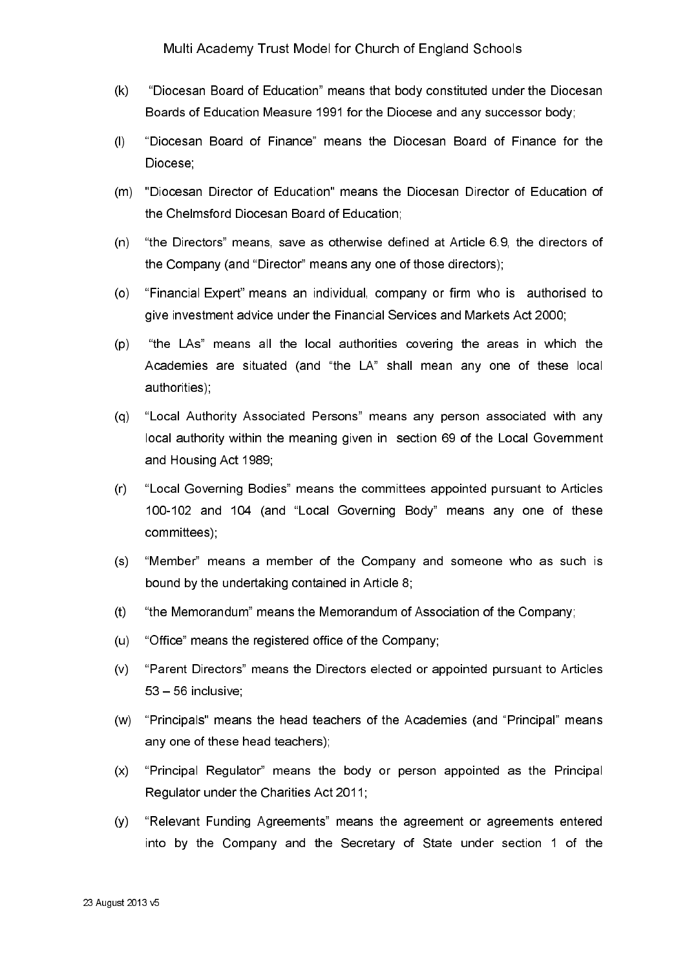- $(k)$ "Diocesan Board of Education" means that body constituted under the Diocesan Boards of Education Measure 1991 for the Diocese and any successor body;
- "Diocesan Board of Finance" means the Diocesan Board of Finance for the  $(1)$ Diocese;
- "Diocesan Director of Education" means the Diocesan Director of Education of  $(m)$ the Chelmsford Diocesan Board of Education;
- "the Directors" means, save as otherwise defined at Article 6.9, the directors of  $(n)$ the Company (and "Director" means any one of those directors);
- "Financial Expert" means an individual, company or firm who is authorised to  $(0)$ give investment advice under the Financial Services and Markets Act 2000;
- "the LAs" means all the local authorities covering the areas in which the  $(p)$ Academies are situated (and "the LA" shall mean any one of these local authorities);
- "Local Authority Associated Persons" means any person associated with any  $(q)$ local authority within the meaning given in section 69 of the Local Government and Housing Act 1989;
- $(r)$ "Local Governing Bodies" means the committees appointed pursuant to Articles 100-102 and 104 (and "Local Governing Body" means any one of these committees);
- "Member" means a member of the Company and someone who as such is  $(s)$ bound by the undertaking contained in Article 8;
- "the Memorandum" means the Memorandum of Association of the Company;  $(t)$
- "Office" means the registered office of the Company;  $(u)$
- $(v)$ "Parent Directors" means the Directors elected or appointed pursuant to Articles 53 - 56 inclusive
- "Principals" means the head teachers of the Academies (and "Principal" means  $(w)$ any one of these head teachers);
- "Principal Regulator" means the body or person appointed as the Principal  $(x)$ Regulator under the Charities Act 2011:
- "Relevant Funding Agreements" means the agreement or agreements entered  $(y)$ into by the Company and the Secretary of State under section 1 of the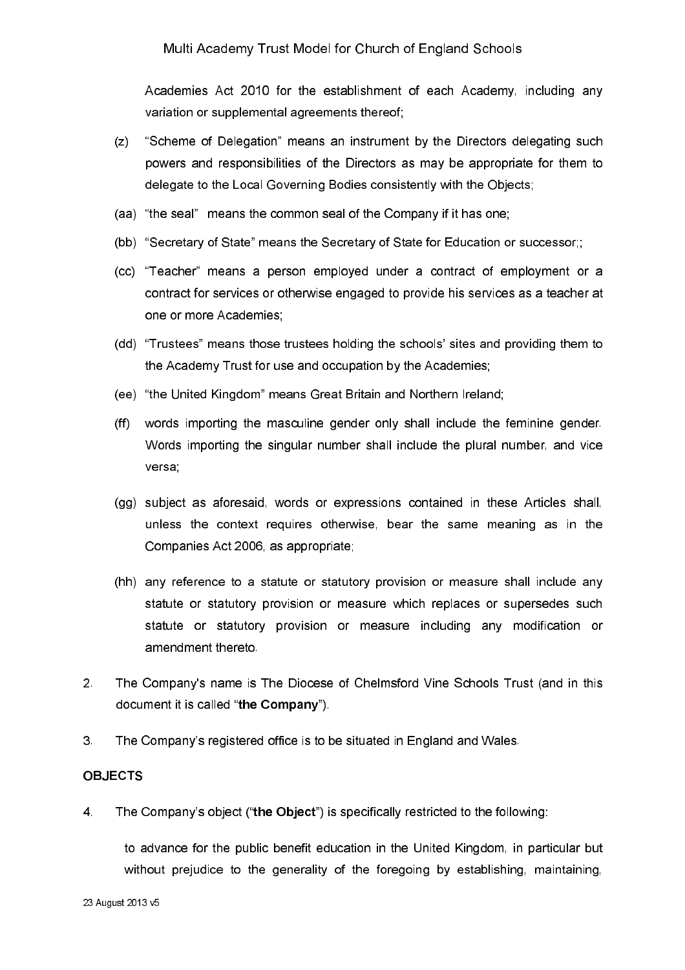Academies Act 2010 for the establishment of each Academy, including any variation or supplemental agreements thereof.

- "Scheme of Delegation" means an instrument by the Directors delegating such  $(z)$ powers and responsibilities of the Directors as may be appropriate for them to delegate to the Local Governing Bodies consistently with the Objects;
- (aa) "the seal" means the common seal of the Company if it has one:
- (bb) "Secretary of State" means the Secretary of State for Education or successor;;
- (cc) "Teacher" means a person employed under a contract of employment or a contract for services or otherwise engaged to provide his services as a teacher at one or more Academies;
- (dd) "Trustees" means those trustees holding the schools' sites and providing them to the Academy Trust for use and occupation by the Academies;
- (ee) "the United Kingdom" means Great Britain and Northern Ireland;
- (ff) words importing the masculine gender only shall include the feminine gender. Words importing the singular number shall include the plural number, and vice versa;
- (gg) subject as aforesaid, words or expressions contained in these Articles shall, unless the context requires otherwise, bear the same meaning as in the Companies Act 2006, as appropriate:
- (hh) any reference to a statute or statutory provision or measure shall include any statute or statutory provision or measure which replaces or supersedes such statute or statutory provision or measure including any modification or amendment thereto
- $2<sup>1</sup>$ The Company's name is The Diocese of Chelmsford Vine Schools Trust (and in this document it is called "the Company").
- $3<sup>1</sup>$ The Company's registered office is to be situated in England and Wales.

#### **OBJECTS**

 $\overline{4}$ The Company's object ("the Object") is specifically restricted to the following:

to advance for the public benefit education in the United Kingdom, in particular but without prejudice to the generality of the foregoing by establishing, maintaining,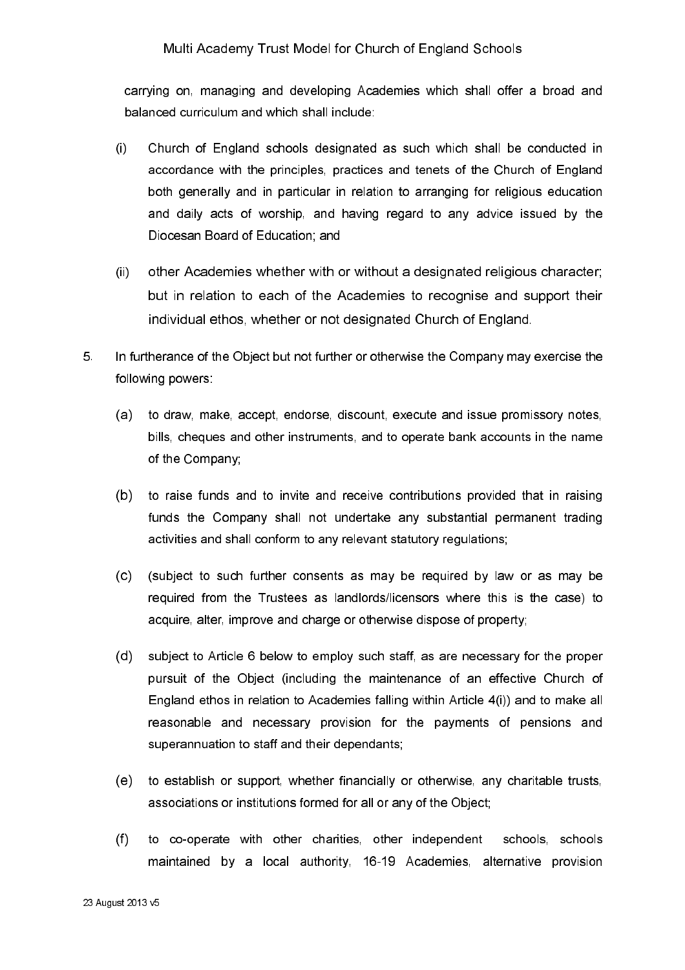carrying on, managing and developing Academies which shall offer a broad and balanced curriculum and which shall include:

- $(i)$ Church of England schools designated as such which shall be conducted in accordance with the principles, practices and tenets of the Church of England both generally and in particular in relation to arranging for religious education and daily acts of worship, and having regard to any advice issued by the Diocesan Board of Education: and
- other Academies whether with or without a designated religious character;  $(ii)$ but in relation to each of the Academies to recognise and support their individual ethos, whether or not designated Church of England.
- 5 In furtherance of the Object but not further or otherwise the Company may exercise the following powers:
	- $(a)$ to draw, make, accept, endorse, discount, execute and issue promissory notes, bills, cheques and other instruments, and to operate bank accounts in the name of the Company;
	- $(b)$ to raise funds and to invite and receive contributions provided that in raising funds the Company shall not undertake any substantial permanent trading activities and shall conform to any relevant statutory regulations;
	- $(c)$ (subject to such further consents as may be required by law or as may be required from the Trustees as landlords/licensors where this is the case) to acquire, alter, improve and charge or otherwise dispose of property;
	- $(d)$ subject to Article 6 below to employ such staff, as are necessary for the proper pursuit of the Obiect (including the maintenance of an effective Church of England ethos in relation to Academies falling within Article 4(i)) and to make all reasonable and necessary provision for the payments of pensions and superannuation to staff and their dependants;
	- $(e)$ to establish or support, whether financially or otherwise, any charitable trusts, associations or institutions formed for all or any of the Object:
	- $(f)$ schools, schools to co-operate with other charities, other independent maintained by a local authority, 16-19 Academies, alternative provision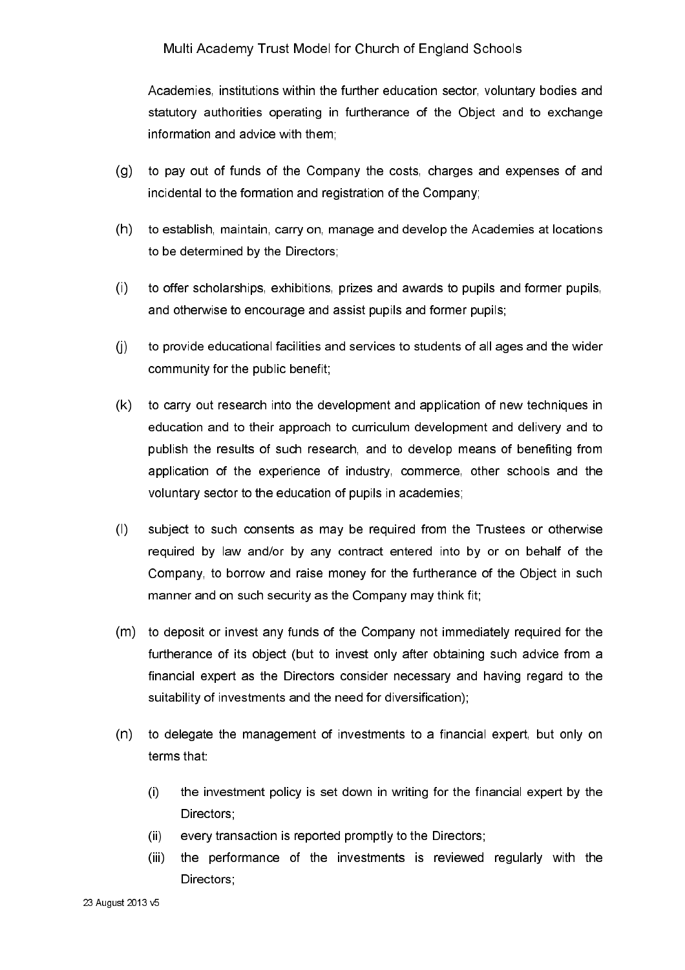Academies, institutions within the further education sector, voluntary bodies and statutory authorities operating in furtherance of the Object and to exchange information and advice with them:

- $(q)$ to pay out of funds of the Company the costs, charges and expenses of and incidental to the formation and registration of the Company;
- $(h)$ to establish, maintain, carry on, manage and develop the Academies at locations to be determined by the Directors:
- $(i)$ to offer scholarships, exhibitions, prizes and awards to pupils and former pupils. and otherwise to encourage and assist pupils and former pupils;
- $(i)$ to provide educational facilities and services to students of all ages and the wider community for the public benefit.
- $(k)$ to carry out research into the development and application of new techniques in education and to their approach to curriculum development and delivery and to publish the results of such research, and to develop means of benefiting from application of the experience of industry, commerce, other schools and the voluntary sector to the education of pupils in academies;
- $(1)$ subject to such consents as may be required from the Trustees or otherwise required by law and/or by any contract entered into by or on behalf of the Company, to borrow and raise money for the furtherance of the Object in such manner and on such security as the Company may think fit;
- (m) to deposit or invest any funds of the Company not immediately required for the furtherance of its object (but to invest only after obtaining such advice from a financial expert as the Directors consider necessary and having regard to the suitability of investments and the need for diversification);
- $(n)$ to delegate the management of investments to a financial expert, but only on terms that:
	- the investment policy is set down in writing for the financial expert by the  $(i)$ Directors:
	- every transaction is reported promptly to the Directors;  $(ii)$
	- the performance of the investments is reviewed regularly with the  $(iii)$ **Directors**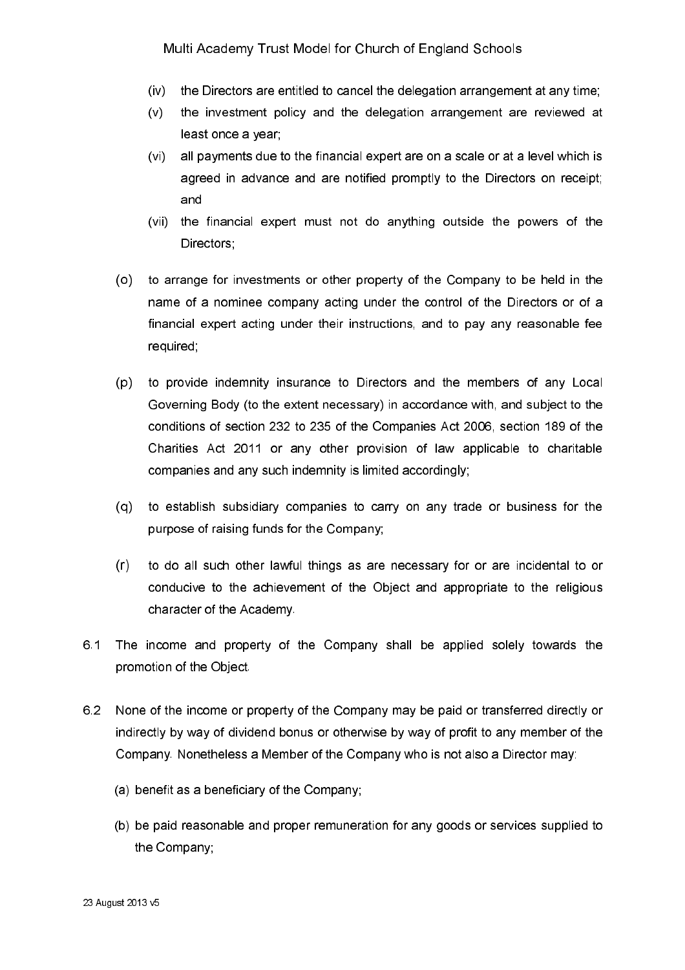- $(iv)$ the Directors are entitled to cancel the delegation arrangement at any time;
- $(v)$ the investment policy and the delegation arrangement are reviewed at least once a year;
- all payments due to the financial expert are on a scale or at a level which is  $(vi)$ agreed in advance and are notified promptly to the Directors on receipt; and
- (vii) the financial expert must not do anything outside the powers of the Directors;
- $(0)$ to arrange for investments or other property of the Company to be held in the name of a nominee company acting under the control of the Directors or of a financial expert acting under their instructions, and to pay any reasonable fee required,
- to provide indemnity insurance to Directors and the members of any Local  $(p)$ Governing Body (to the extent necessary) in accordance with, and subject to the conditions of section 232 to 235 of the Companies Act 2006, section 189 of the Charities Act 2011 or any other provision of law applicable to charitable companies and any such indemnity is limited accordingly;
- $(q)$ to establish subsidiary companies to carry on any trade or business for the purpose of raising funds for the Company;
- to do all such other lawful things as are necessary for or are incidental to or  $(r)$ conducive to the achievement of the Object and appropriate to the religious character of the Academy.
- 6.1 The income and property of the Company shall be applied solely towards the promotion of the Object.
- 6.2 None of the income or property of the Company may be paid or transferred directly or indirectly by way of dividend bonus or otherwise by way of profit to any member of the Company. Nonetheless a Member of the Company who is not also a Director may:
	- (a) benefit as a beneficiary of the Company:
	- (b) be paid reasonable and proper remuneration for any goods or services supplied to the Company;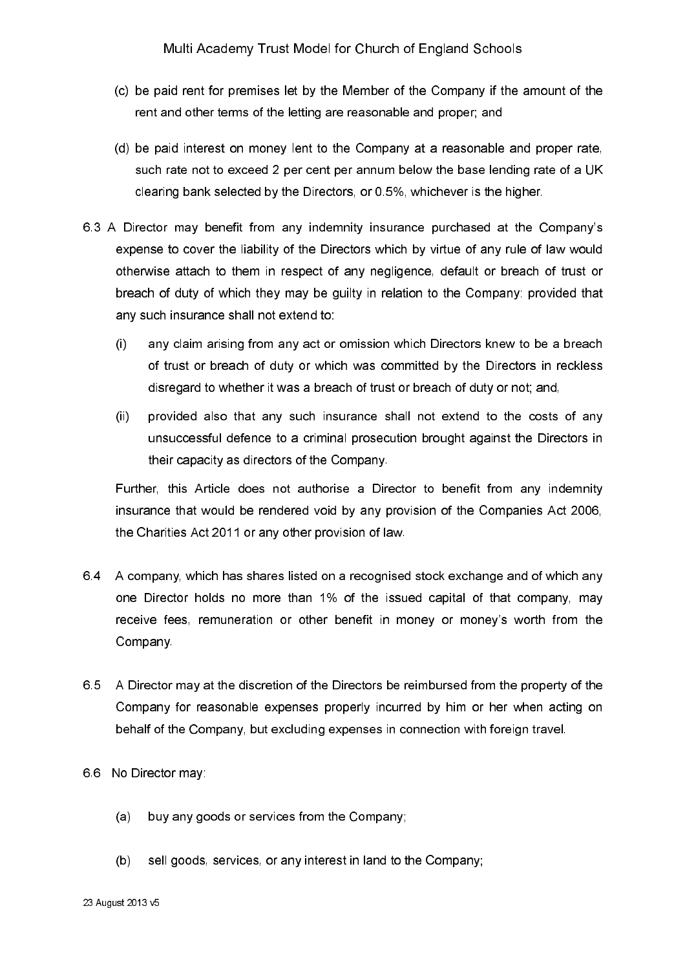- (c) be paid rent for premises let by the Member of the Company if the amount of the rent and other terms of the letting are reasonable and proper; and
- (d) be paid interest on money lent to the Company at a reasonable and proper rate. such rate not to exceed 2 per cent per annum below the base lending rate of a UK clearing bank selected by the Directors, or 0.5%, whichever is the higher.
- 6.3 A Director may benefit from any indemnity insurance purchased at the Company's expense to cover the liability of the Directors which by virtue of any rule of law would otherwise attach to them in respect of any negligence, default or breach of trust or breach of duty of which they may be guilty in relation to the Company: provided that any such insurance shall not extend to:
	- any claim arising from any act or omission which Directors knew to be a breach  $\left($ of trust or breach of duty or which was committed by the Directors in reckless disregard to whether it was a breach of trust or breach of duty or not; and,
	- provided also that any such insurance shall not extend to the costs of any  $(ii)$ unsuccessful defence to a criminal prosecution brought against the Directors in their capacity as directors of the Company.

Further, this Article does not authorise a Director to benefit from any indemnity insurance that would be rendered void by any provision of the Companies Act 2006, the Charities Act 2011 or any other provision of law.

- 64 A company, which has shares listed on a recognised stock exchange and of which any one Director holds no more than 1% of the issued capital of that company, may receive fees, remuneration or other benefit in money or money's worth from the Company
- 6.5 A Director may at the discretion of the Directors be reimbursed from the property of the Company for reasonable expenses properly incurred by him or her when acting on behalf of the Company, but excluding expenses in connection with foreign travel.
- 6.6 No Director may
	- $(a)$ buy any goods or services from the Company:
	- $(b)$ sell goods, services, or any interest in land to the Company;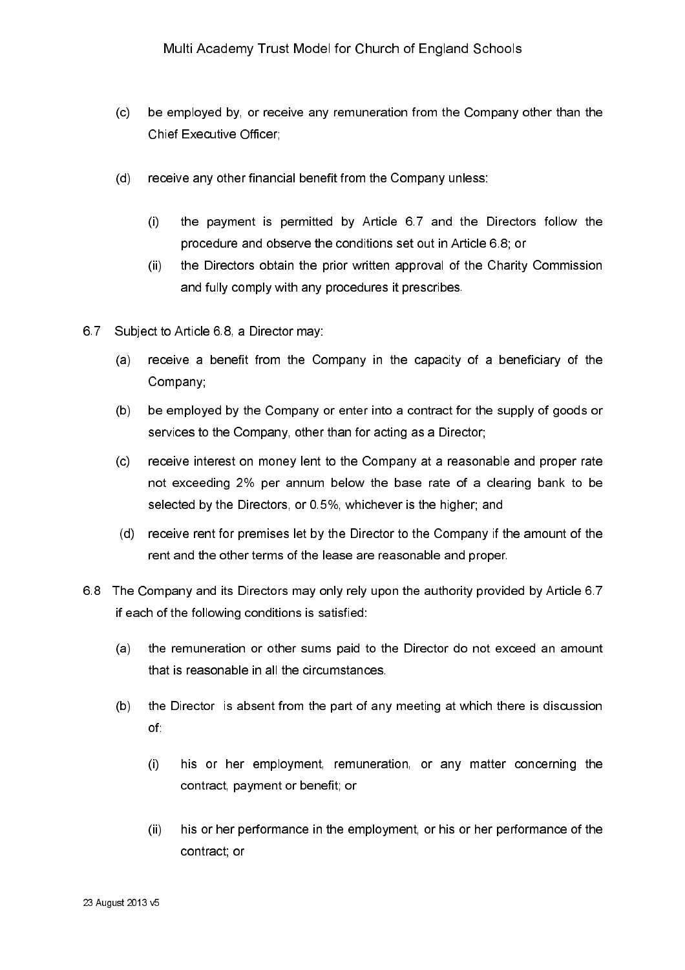- $(c)$ be employed by, or receive any remuneration from the Company other than the Chief Executive Officer:
- receive any other financial benefit from the Company unless:  $(d)$ 
	- $(i)$ the payment is permitted by Article 6.7 and the Directors follow the procedure and observe the conditions set out in Article 6.8; or
	- the Directors obtain the prior written approval of the Charity Commission  $(i)$ and fully comply with any procedures it prescribes.
- 6.7 Subject to Article 6.8, a Director may:
	- receive a benefit from the Company in the capacity of a beneficiary of the  $(a)$ Company;
	- $(b)$ be employed by the Company or enter into a contract for the supply of goods or services to the Company, other than for acting as a Director;
	- $(c)$ receive interest on money lent to the Company at a reasonable and proper rate not exceeding 2% per annum below the base rate of a clearing bank to be selected by the Directors, or 0.5%, whichever is the higher; and
	- (d) receive rent for premises let by the Director to the Company if the amount of the rent and the other terms of the lease are reasonable and proper.
- 6.8 The Company and its Directors may only rely upon the authority provided by Article 6.7 if each of the following conditions is satisfied:
	- the remuneration or other sums paid to the Director do not exceed an amount  $(a)$ that is reasonable in all the circumstances.
	- the Director is absent from the part of any meeting at which there is discussion  $(b)$  $o<sub>f</sub>$ 
		- $(i)$ his or her employment, remuneration, or any matter concerning the contract, payment or benefit; or
		- $(ii)$ his or her performance in the employment, or his or her performance of the contract: or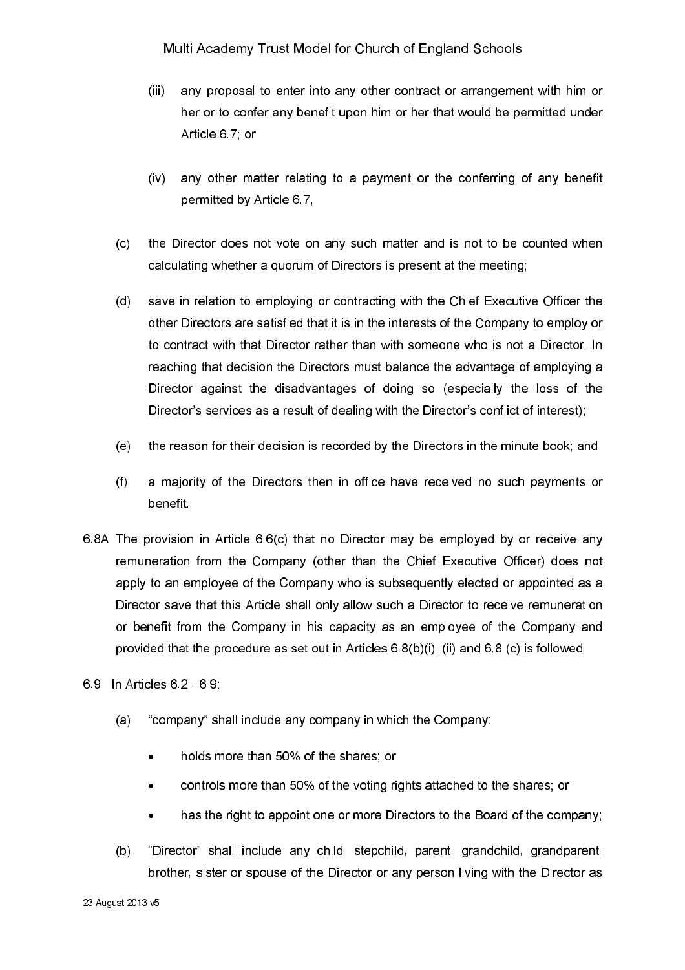- $(iii)$ any proposal to enter into any other contract or arrangement with him or her or to confer any benefit upon him or her that would be permitted under Article 67 or
- any other matter relating to a payment or the conferring of any benefit  $(iv)$ permitted by Article 6.7.
- the Director does not vote on any such matter and is not to be counted when  $(c)$ calculating whether a quorum of Directors is present at the meeting;
- $(d)$ save in relation to employing or contracting with the Chief Executive Officer the other Directors are satisfied that it is in the interests of the Company to employ or to contract with that Director rather than with someone who is not a Director. In reaching that decision the Directors must balance the advantage of employing a Director against the disadvantages of doing so (especially the loss of the Director's services as a result of dealing with the Director's conflict of interest);
- $(e)$ the reason for their decision is recorded by the Directors in the minute book; and
- a majority of the Directors then in office have received no such payments or  $(f)$ benefit
- 6.8A The provision in Article 6.6(c) that no Director may be employed by or receive any remuneration from the Company (other than the Chief Executive Officer) does not apply to an employee of the Company who is subsequently elected or appointed as a Director save that this Article shall only allow such a Director to receive remuneration or benefit from the Company in his capacity as an employee of the Company and provided that the procedure as set out in Articles 6.8(b)(i), (ii) and 6.8 (c) is followed.
- 69 In Articles 62 69
	- "company" shall include any company in which the Company:  $(a)$ 
		- holds more than 50% of the shares; or  $\bullet$
		- $\bullet$ controls more than 50% of the voting rights attached to the shares; or
		- has the right to appoint one or more Directors to the Board of the company:  $\bullet$
	- "Director" shall include any child, stepchild, parent, grandchild, grandparent,  $(b)$ brother, sister or spouse of the Director or any person living with the Director as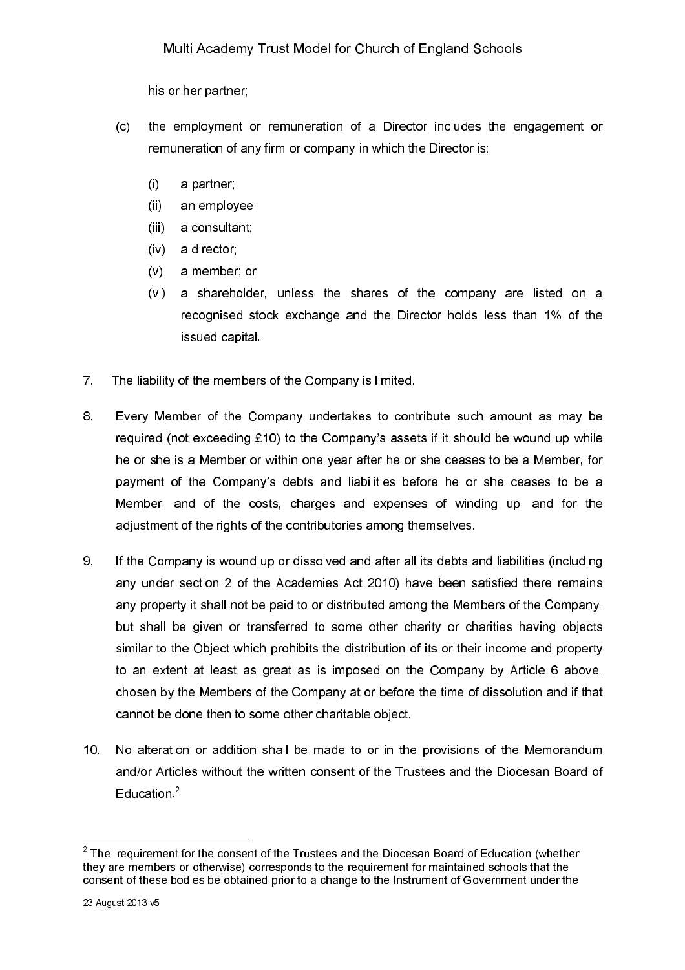his or her partner;

- the employment or remuneration of a Director includes the engagement or  $(c)$ remuneration of any firm or company in which the Director is:
	- a partner;  $(i)$
	- $(ii)$ an employee;
	- a consultant:  $(iii)$
	- a director:  $(iv)$
	- a member; or  $(v)$
	- a shareholder, unless the shares of the company are listed on a  $(v<sub>i</sub>)$ recognised stock exchange and the Director holds less than 1% of the issued capital
- $7<sup>7</sup>$ The liability of the members of the Company is limited.
- Every Member of the Company undertakes to contribute such amount as may be 8 required (not exceeding £10) to the Company's assets if it should be wound up while he or she is a Member or within one year after he or she ceases to be a Member, for payment of the Company's debts and liabilities before he or she ceases to be a Member, and of the costs, charges and expenses of winding up, and for the adjustment of the rights of the contributories among themselves.
- 9 If the Company is wound up or dissolved and after all its debts and liabilities (including any under section 2 of the Academies Act 2010) have been satisfied there remains any property it shall not be paid to or distributed among the Members of the Company. but shall be given or transferred to some other charity or charities having objects similar to the Object which prohibits the distribution of its or their income and property to an extent at least as great as is imposed on the Company by Article 6 above. chosen by the Members of the Company at or before the time of dissolution and if that cannot be done then to some other charitable object.
- No alteration or addition shall be made to or in the provisions of the Memorandum  $10<sup>1</sup>$ and/or Articles without the written consent of the Trustees and the Diocesan Board of Education. $2$

 $2$  The requirement for the consent of the Trustees and the Diocesan Board of Education (whether they are members or otherwise) corresponds to the requirement for maintained schools that the consent of these bodies be obtained prior to a change to the Instrument of Government under the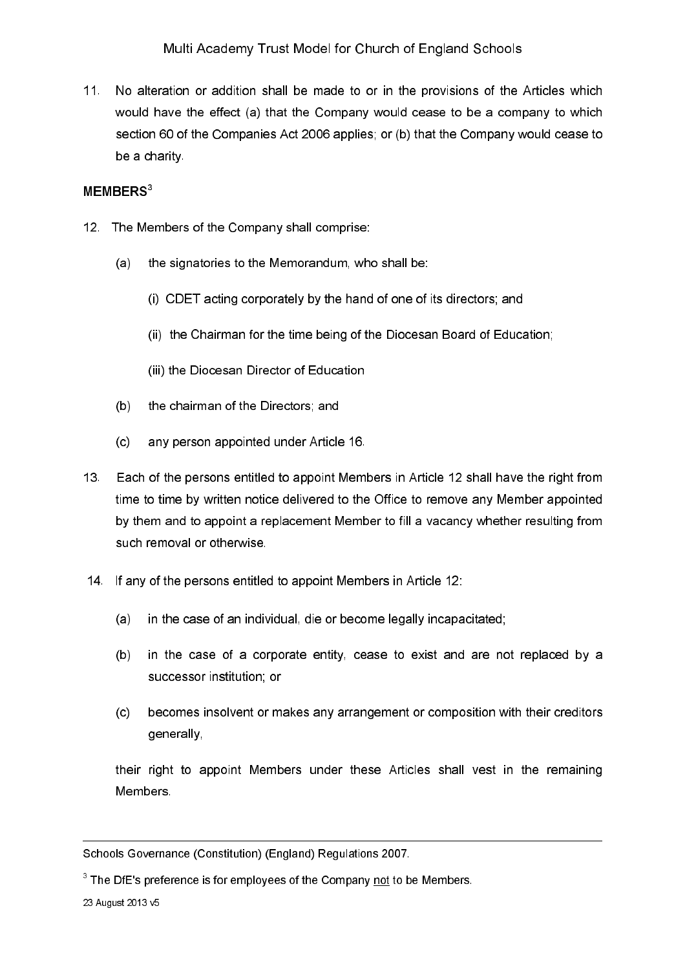11. No alteration or addition shall be made to or in the provisions of the Articles which would have the effect (a) that the Company would cease to be a company to which section 60 of the Companies Act 2006 applies: or (b) that the Company would cease to be a charity

### $MEMBERS<sup>3</sup>$

- 12. The Members of the Company shall comprise:
	- the signatories to the Memorandum, who shall be:  $(a)$ 
		- (i) CDET acting corporately by the hand of one of its directors; and
		- (ii) the Chairman for the time being of the Diocesan Board of Education;
		- (iii) the Diocesan Director of Education
	- $(b)$ the chairman of the Directors; and
	- any person appointed under Article 16.  $(c)$
- $13<sup>2</sup>$ Each of the persons entitled to appoint Members in Article 12 shall have the right from time to time by written notice delivered to the Office to remove any Member appointed by them and to appoint a replacement Member to fill a vacancy whether resulting from such removal or otherwise.
- 14. If any of the persons entitled to appoint Members in Article 12:
	- in the case of an individual, die or become legally incapacitated;  $(a)$
	- in the case of a corporate entity, cease to exist and are not replaced by a  $(b)$ successor institution: or
	- becomes insolvent or makes any arrangement or composition with their creditors  $(c)$ generally,

their right to appoint Members under these Articles shall vest in the remaining **Members** 

Schools Governance (Constitution) (England) Regulations 2007.

 $3$  The DfE's preference is for employees of the Company not to be Members.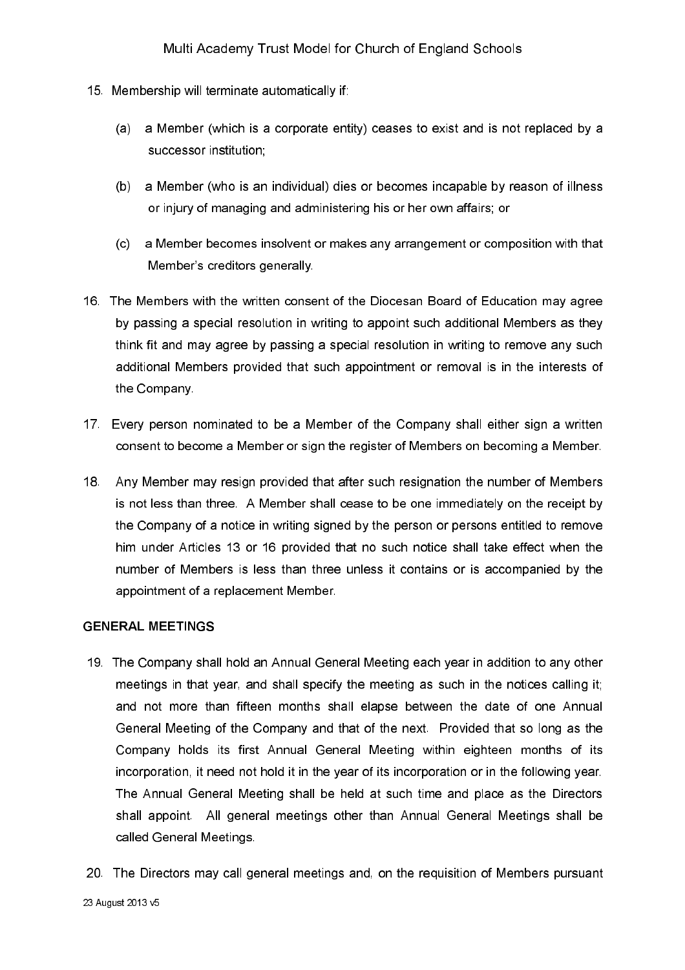- 15. Membership will terminate automatically if:
	- (a) a Member (which is a corporate entity) ceases to exist and is not replaced by a successor institution:
	- a Member (who is an individual) dies or becomes incapable by reason of illness  $(b)$ or injury of managing and administering his or her own affairs; or
	- a Member becomes insolvent or makes any arrangement or composition with that  $(c)$ Member's creditors generally.
- 16. The Members with the written consent of the Diocesan Board of Education may agree by passing a special resolution in writing to appoint such additional Members as they think fit and may agree by passing a special resolution in writing to remove any such additional Members provided that such appointment or removal is in the interests of the Company.
- 17. Every person nominated to be a Member of the Company shall either sign a written consent to become a Member or sign the register of Members on becoming a Member.
- 18. Any Member may resign provided that after such resignation the number of Members is not less than three. A Member shall cease to be one immediately on the receipt by the Company of a notice in writing signed by the person or persons entitled to remove him under Articles 13 or 16 provided that no such notice shall take effect when the number of Members is less than three unless it contains or is accompanied by the appointment of a replacement Member.

### **GENERAL MEETINGS**

- 19. The Company shall hold an Annual General Meeting each year in addition to any other meetings in that year, and shall specify the meeting as such in the notices calling it; and not more than fifteen months shall elapse between the date of one Annual General Meeting of the Company and that of the next. Provided that so long as the Company holds its first Annual General Meeting within eighteen months of its incorporation, it need not hold it in the year of its incorporation or in the following year. The Annual General Meeting shall be held at such time and place as the Directors shall appoint. All general meetings other than Annual General Meetings shall be called General Meetings.
- 20. The Directors may call general meetings and, on the requisition of Members pursuant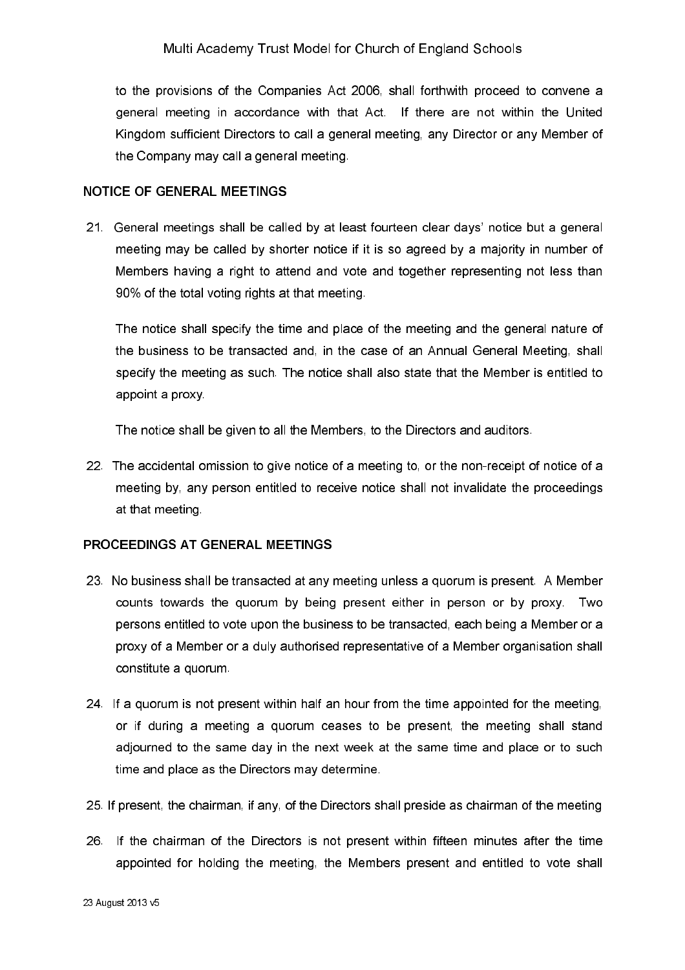to the provisions of the Companies Act 2006, shall forthwith proceed to convene a general meeting in accordance with that Act. If there are not within the United Kingdom sufficient Directors to call a general meeting, any Director or any Member of the Company may call a general meeting.

### **NOTICE OF GENERAL MEETINGS**

21. General meetings shall be called by at least fourteen clear days' notice but a general meeting may be called by shorter notice if it is so agreed by a majority in number of Members having a right to attend and vote and together representing not less than 90% of the total voting rights at that meeting.

The notice shall specify the time and place of the meeting and the general nature of the business to be transacted and, in the case of an Annual General Meeting, shall specify the meeting as such. The notice shall also state that the Member is entitled to appoint a proxy

The notice shall be given to all the Members, to the Directors and auditors.

22. The accidental omission to give notice of a meeting to, or the non-receipt of notice of a meeting by, any person entitled to receive notice shall not invalidate the proceedings at that meeting.

### PROCEEDINGS AT GENERAL MEETINGS

- 23. No business shall be transacted at any meeting unless a quorum is present. A Member counts towards the quorum by being present either in person or by proxy. Two persons entitled to vote upon the business to be transacted, each being a Member or a proxy of a Member or a duly authorised representative of a Member organisation shall constitute a quorum.
- 24. If a quorum is not present within half an hour from the time appointed for the meeting, or if during a meeting a guorum ceases to be present, the meeting shall stand adjourned to the same day in the next week at the same time and place or to such time and place as the Directors may determine.
- 25. If present, the chairman, if any, of the Directors shall preside as chairman of the meeting
- 26. If the chairman of the Directors is not present within fifteen minutes after the time appointed for holding the meeting, the Members present and entitled to vote shall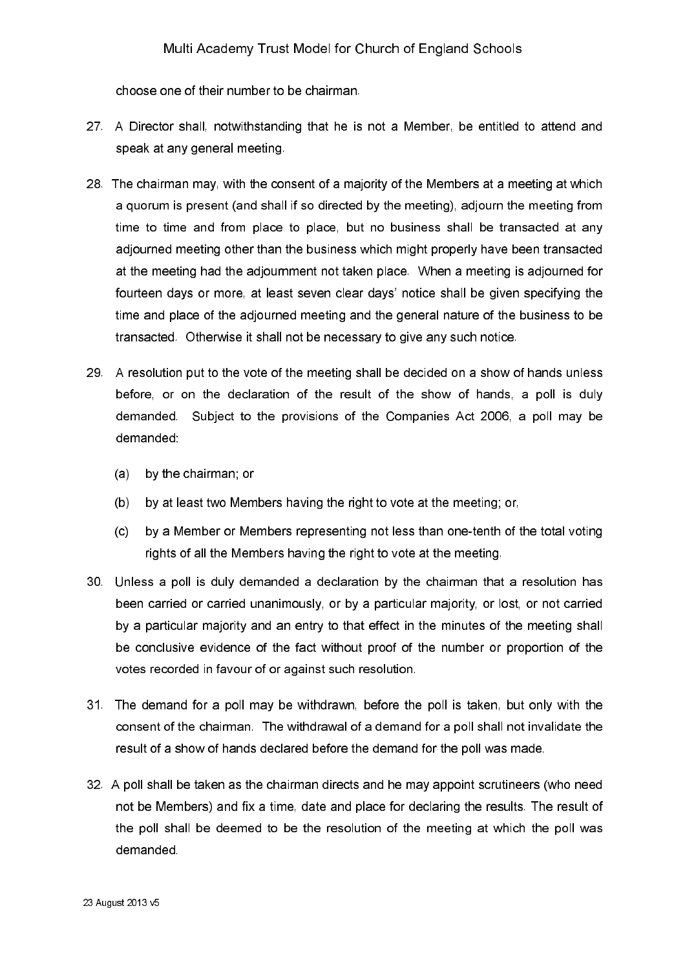choose one of their number to be chairman.

- 27. A Director shall, notwithstanding that he is not a Member, be entitled to attend and speak at any general meeting.
- 28. The chairman may, with the consent of a majority of the Members at a meeting at which a quorum is present (and shall if so directed by the meeting), adjourn the meeting from time to time and from place to place, but no business shall be transacted at any adiourned meeting other than the business which might properly have been transacted at the meeting had the adjournment not taken place. When a meeting is adjourned for fourteen days or more, at least seven clear days' notice shall be given specifying the time and place of the adjourned meeting and the general nature of the business to be transacted. Otherwise it shall not be necessary to give any such notice.
- 29. A resolution put to the vote of the meeting shall be decided on a show of hands unless before, or on the declaration of the result of the show of hands, a poll is duly demanded. Subject to the provisions of the Companies Act 2006, a poll may be demanded:
	- by the chairman: or  $(a)$
	- by at least two Members having the right to vote at the meeting; or,  $(b)$
	- $(c)$ by a Member or Members representing not less than one-tenth of the total voting rights of all the Members having the right to vote at the meeting.
- 30. Unless a poll is duly demanded a declaration by the chairman that a resolution has been carried or carried unanimously, or by a particular majority, or lost, or not carried by a particular majority and an entry to that effect in the minutes of the meeting shall be conclusive evidence of the fact without proof of the number or proportion of the votes recorded in favour of or against such resolution.
- 31. The demand for a poll may be withdrawn, before the poll is taken, but only with the consent of the chairman. The withdrawal of a demand for a poll shall not invalidate the result of a show of hands declared before the demand for the poll was made.
- 32. A poll shall be taken as the chairman directs and he may appoint scrutineers (who need not be Members) and fix a time, date and place for declaring the results. The result of the poll shall be deemed to be the resolution of the meeting at which the poll was demanded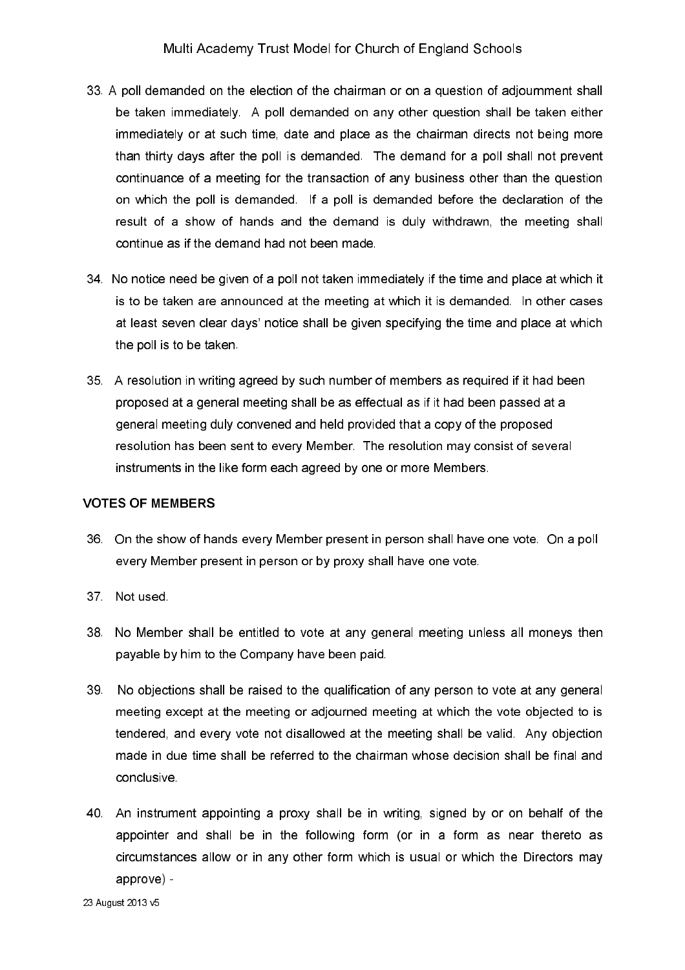- 33. A poll demanded on the election of the chairman or on a question of adjournment shall be taken immediately. A poll demanded on any other question shall be taken either immediately or at such time, date and place as the chairman directs not being more than thirty days after the poll is demanded. The demand for a poll shall not prevent continuance of a meeting for the transaction of any business other than the question on which the poll is demanded. If a poll is demanded before the declaration of the result of a show of hands and the demand is duly withdrawn, the meeting shall continue as if the demand had not been made.
- 34. No notice need be given of a poll not taken immediately if the time and place at which it is to be taken are announced at the meeting at which it is demanded. In other cases at least seven clear days' notice shall be given specifying the time and place at which the poll is to be taken.
- 35. A resolution in writing agreed by such number of members as required if it had been proposed at a general meeting shall be as effectual as if it had been passed at a general meeting duly convened and held provided that a copy of the proposed resolution has been sent to every Member. The resolution may consist of several instruments in the like form each agreed by one or more Members.

#### **VOTES OF MEMBERS**

- 36. On the show of hands every Member present in person shall have one vote. On a poll every Member present in person or by proxy shall have one vote.
- 37 Not used
- 38. No Member shall be entitled to vote at any general meeting unless all moneys then payable by him to the Company have been paid.
- 39. No objections shall be raised to the qualification of any person to vote at any general meeting except at the meeting or adjourned meeting at which the vote objected to is tendered, and every vote not disallowed at the meeting shall be valid. Any objection made in due time shall be referred to the chairman whose decision shall be final and conclusive
- 40. An instrument appointing a proxy shall be in writing, signed by or on behalf of the appointer and shall be in the following form (or in a form as near thereto as circumstances allow or in any other form which is usual or which the Directors may approve) -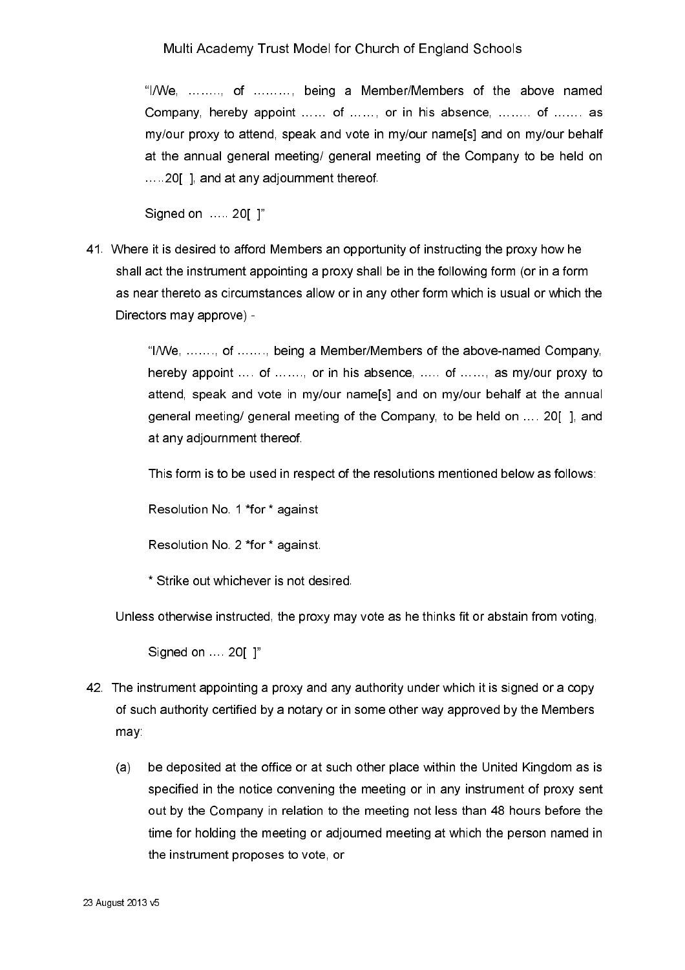"I/We, ........, of ........., being a Member/Members of the above named Company, hereby appoint ...... of ......, or in his absence, ....... of ....... as my/our proxy to attend, speak and vote in my/our name[s] and on my/our behalf at the annual general meeting/ general meeting of the Company to be held on .....20 | and at any adjournment thereof.

Signed on .... 20[ ]"

41. Where it is desired to afford Members an opportunity of instructing the proxy how he shall act the instrument appointing a proxy shall be in the following form (or in a form as near thereto as circumstances allow or in any other form which is usual or which the Directors may approve) -

> "I/We, ......, of ......, being a Member/Members of the above-named Company, hereby appoint ... of ......, or in his absence, ..... of ......, as my/our proxy to attend, speak and vote in my/our name[s] and on my/our behalf at the annual general meeting/ general meeting of the Company, to be held on ... 20 | 1, and at any adjournment thereof.

This form is to be used in respect of the resolutions mentioned below as follows:

Resolution No. 1 \*for \* against

Resolution No. 2 \*for \* against.

\* Strike out whichever is not desired.

Unless otherwise instructed, the proxy may vote as he thinks fit or abstain from voting,

Signed on ... 20[ ]"

- 42. The instrument appointing a proxy and any authority under which it is signed or a copy of such authority certified by a notary or in some other way approved by the Members may:
	- be deposited at the office or at such other place within the United Kingdom as is  $(a)$ specified in the notice convening the meeting or in any instrument of proxy sent out by the Company in relation to the meeting not less than 48 hours before the time for holding the meeting or adjourned meeting at which the person named in the instrument proposes to vote, or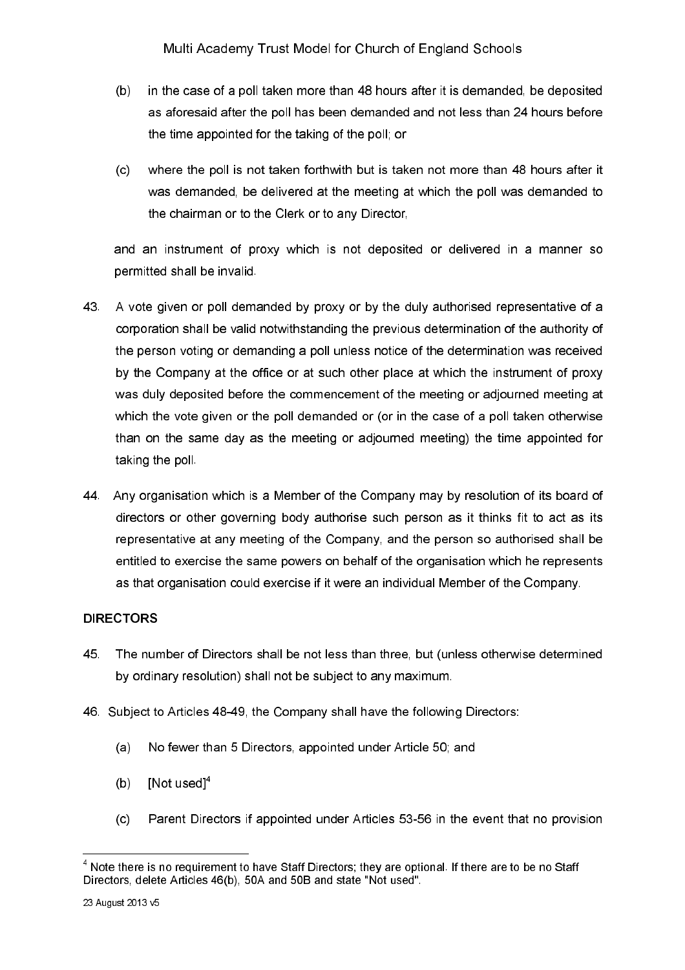- $(b)$ in the case of a poll taken more than 48 hours after it is demanded, be deposited as aforesaid after the poll has been demanded and not less than 24 hours before the time appointed for the taking of the poll; or
- where the poll is not taken forthwith but is taken not more than 48 hours after it  $(c)$ was demanded, be delivered at the meeting at which the poll was demanded to the chairman or to the Clerk or to any Director,

and an instrument of proxy which is not deposited or delivered in a manner so permitted shall be invalid.

- 43. A vote given or poll demanded by proxy or by the duly authorised representative of a corporation shall be valid notwithstanding the previous determination of the authority of the person voting or demanding a poll unless notice of the determination was received by the Company at the office or at such other place at which the instrument of proxy was duly deposited before the commencement of the meeting or adjourned meeting at which the vote given or the poll demanded or (or in the case of a poll taken otherwise than on the same day as the meeting or adjourned meeting) the time appointed for taking the poll.
- 44. Any organisation which is a Member of the Company may by resolution of its board of directors or other governing body authorise such person as it thinks fit to act as its representative at any meeting of the Company, and the person so authorised shall be entitled to exercise the same powers on behalf of the organisation which he represents as that organisation could exercise if it were an individual Member of the Company.

### **DIRECTORS**

- $45<sup>1</sup>$ The number of Directors shall be not less than three, but (unless otherwise determined by ordinary resolution) shall not be subject to any maximum.
- 46. Subject to Articles 48-49, the Company shall have the following Directors:
	- $(a)$ No fewer than 5 Directors, appointed under Article 50; and
	- [Not used] $<sup>4</sup>$ </sup>  $(b)$
	- Parent Directors if appointed under Articles 53-56 in the event that no provision  $(c)$

 $4$  Note there is no requirement to have Staff Directors; they are optional. If there are to be no Staff Directors, delete Articles 46(b), 50A and 50B and state "Not used".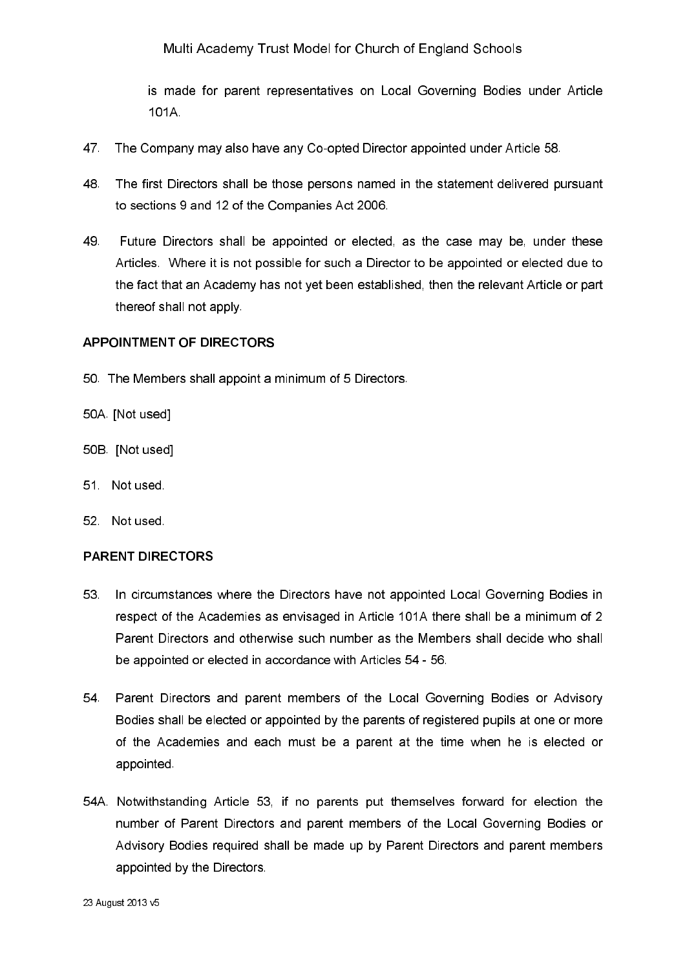is made for parent representatives on Local Governing Bodies under Article 101A

- 47 The Company may also have any Co-opted Director appointed under Article 58
- 48 The first Directors shall be those persons named in the statement delivered pursuant to sections 9 and 12 of the Companies Act 2006.
- 49 Future Directors shall be appointed or elected, as the case may be, under these Articles. Where it is not possible for such a Director to be appointed or elected due to the fact that an Academy has not yet been established, then the relevant Article or part thereof shall not apply.

### **APPOINTMENT OF DIRECTORS**

- 50. The Members shall appoint a minimum of 5 Directors.
- 50A INot used1
- 50B [Not used]
- 51 Not used
- 52 Not used

### **PARENT DIRECTORS**

- In circumstances where the Directors have not appointed Local Governing Bodies in 53 respect of the Academies as envisaged in Article 101A there shall be a minimum of 2 Parent Directors and otherwise such number as the Members shall decide who shall be appointed or elected in accordance with Articles 54 - 56.
- 54 Parent Directors and parent members of the Local Governing Bodies or Advisory Bodies shall be elected or appointed by the parents of registered pupils at one or more of the Academies and each must be a parent at the time when he is elected or appointed
- 54A. Notwithstanding Article 53, if no parents put themselves forward for election the number of Parent Directors and parent members of the Local Governing Bodies or Advisory Bodies required shall be made up by Parent Directors and parent members appointed by the Directors.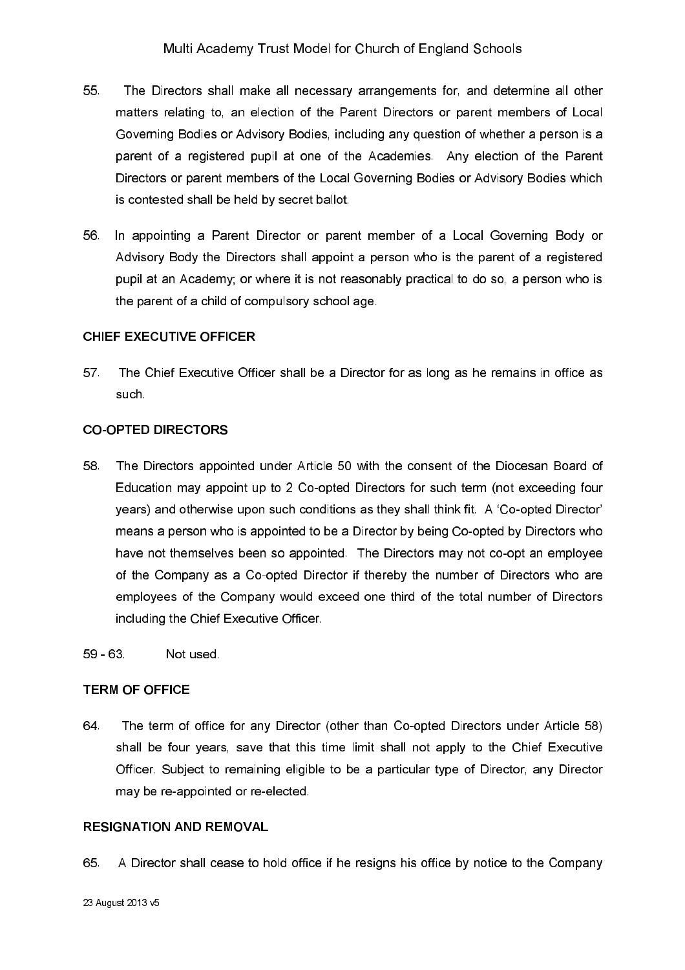- 55 The Directors shall make all necessary arrangements for, and determine all other matters relating to, an election of the Parent Directors or parent members of Local Governing Bodies or Advisory Bodies, including any question of whether a person is a parent of a registered pupil at one of the Academies. Any election of the Parent Directors or parent members of the Local Governing Bodies or Advisory Bodies which is contested shall be held by secret ballot.
- In appointing a Parent Director or parent member of a Local Governing Body or 56 Advisory Body the Directors shall appoint a person who is the parent of a registered pupil at an Academy; or where it is not reasonably practical to do so, a person who is the parent of a child of compulsory school age.

#### **CHIEF EXECUTIVE OFFICER**

57 The Chief Executive Officer shall be a Director for as long as he remains in office as such.

#### **CO-OPTED DIRECTORS**

- 58. The Directors appointed under Article 50 with the consent of the Diocesan Board of Education may appoint up to 2 Co-opted Directors for such term (not exceeding four years) and otherwise upon such conditions as they shall think fit. A 'Co-opted Director' means a person who is appointed to be a Director by being Co-opted by Directors who have not themselves been so appointed. The Directors may not co-opt an employee of the Company as a Co-opted Director if thereby the number of Directors who are employees of the Company would exceed one third of the total number of Directors including the Chief Executive Officer.
- $59 63$ Not used.

#### **TERM OF OFFICE**

64 The term of office for any Director (other than Co-opted Directors under Article 58) shall be four years, save that this time limit shall not apply to the Chief Executive Officer. Subject to remaining eligible to be a particular type of Director, any Director may be re-appointed or re-elected.

#### **RESIGNATION AND REMOVAL**

A Director shall cease to hold office if he resigns his office by notice to the Company 65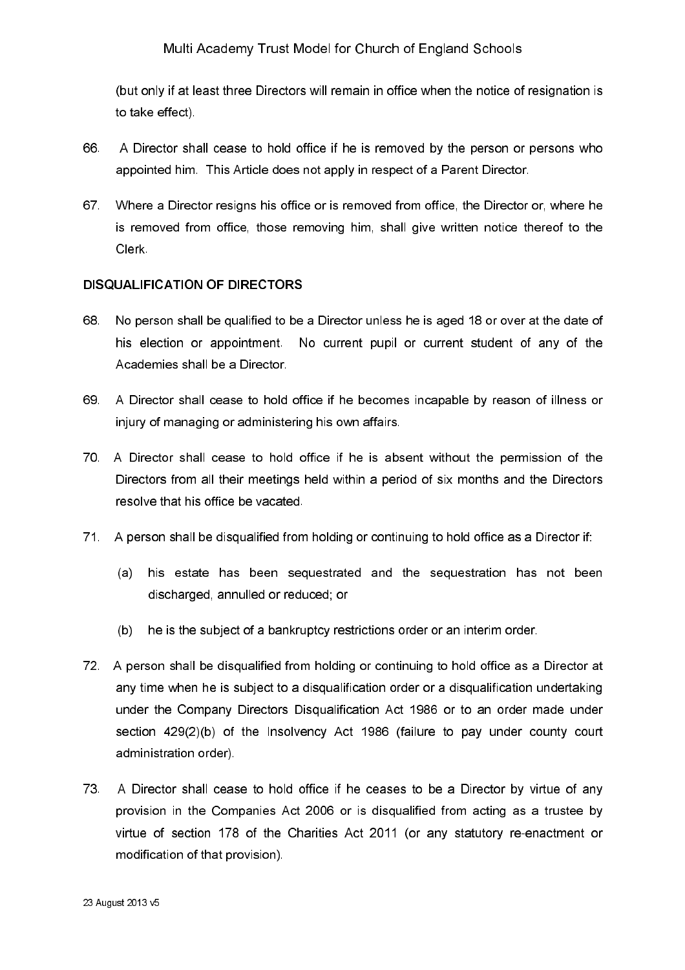(but only if at least three Directors will remain in office when the notice of resignation is to take effect).

- 66 A Director shall cease to hold office if he is removed by the person or persons who appointed him. This Article does not apply in respect of a Parent Director.
- Where a Director resigns his office or is removed from office, the Director or, where he 67. is removed from office, those removing him, shall give written notice thereof to the Clerk

### **DISQUALIFICATION OF DIRECTORS**

- 68 No person shall be qualified to be a Director unless he is aged 18 or over at the date of his election or appointment. No current pupil or current student of any of the Academies shall be a Director.
- 69. A Director shall cease to hold office if he becomes incapable by reason of illness or injury of managing or administering his own affairs.
- 70. A Director shall cease to hold office if he is absent without the permission of the Directors from all their meetings held within a period of six months and the Directors resolve that his office be vacated.
- 71. A person shall be disqualified from holding or continuing to hold office as a Director if:
	- $(a)$ his estate has been sequestrated and the sequestration has not been discharged, annulled or reduced; or
	- $(b)$ he is the subject of a bankruptcy restrictions order or an interim order.
- 72. A person shall be disqualified from holding or continuing to hold office as a Director at any time when he is subject to a disqualification order or a disqualification undertaking under the Company Directors Disqualification Act 1986 or to an order made under section 429(2)(b) of the Insolvency Act 1986 (failure to pay under county court administration order).
- 73 A Director shall cease to hold office if he ceases to be a Director by virtue of any provision in the Companies Act 2006 or is disqualified from acting as a trustee by virtue of section 178 of the Charities Act 2011 (or any statutory re-enactment or modification of that provision).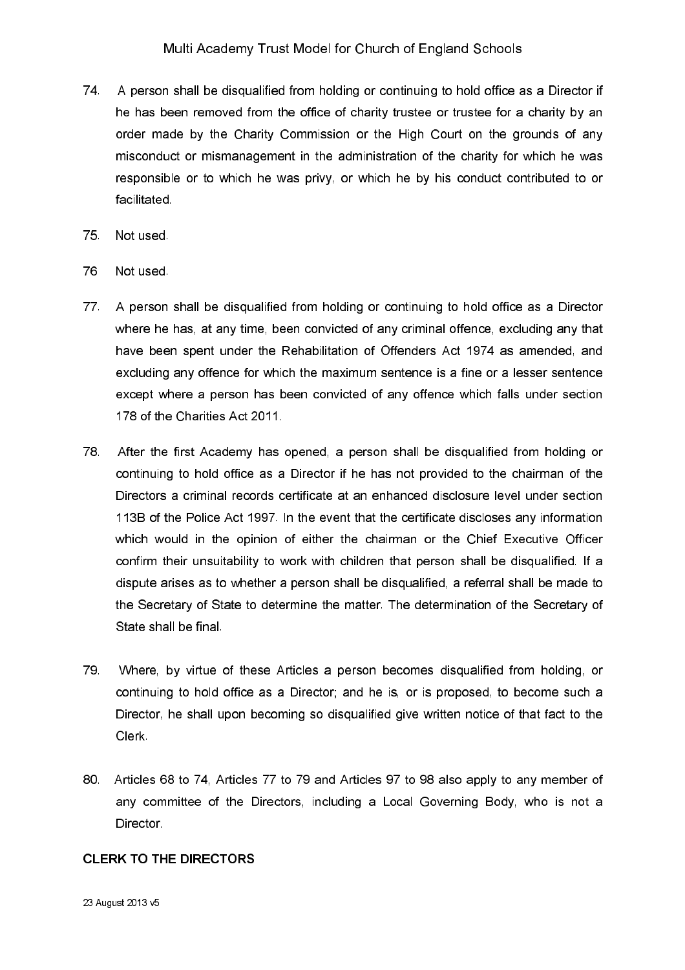- 74. A person shall be disqualified from holding or continuing to hold office as a Director if he has been removed from the office of charity trustee or trustee for a charity by an order made by the Charity Commission or the High Court on the grounds of any misconduct or mismanagement in the administration of the charity for which he was responsible or to which he was privy, or which he by his conduct contributed to or facilitated.
- Not used. 75
- 76 Not used.
- 77. A person shall be disqualified from holding or continuing to hold office as a Director where he has, at any time, been convicted of any criminal offence, excluding any that have been spent under the Rehabilitation of Offenders Act 1974 as amended, and excluding any offence for which the maximum sentence is a fine or a lesser sentence except where a person has been convicted of any offence which falls under section 178 of the Charities Act 2011.
- 78 After the first Academy has opened, a person shall be disqualified from holding or continuing to hold office as a Director if he has not provided to the chairman of the Directors a criminal records certificate at an enhanced disclosure level under section 113B of the Police Act 1997. In the event that the certificate discloses any information which would in the opinion of either the chairman or the Chief Executive Officer confirm their unsuitability to work with children that person shall be disqualified. If a dispute arises as to whether a person shall be disqualified, a referral shall be made to the Secretary of State to determine the matter. The determination of the Secretary of State shall be final
- 79 Where, by virtue of these Articles a person becomes disqualified from holding, or continuing to hold office as a Director; and he is, or is proposed, to become such a Director, he shall upon becoming so disqualified give written notice of that fact to the Clerk
- 80. Articles 68 to 74, Articles 77 to 79 and Articles 97 to 98 also apply to any member of any committee of the Directors, including a Local Governing Body, who is not a Director.

#### **CLERK TO THE DIRECTORS**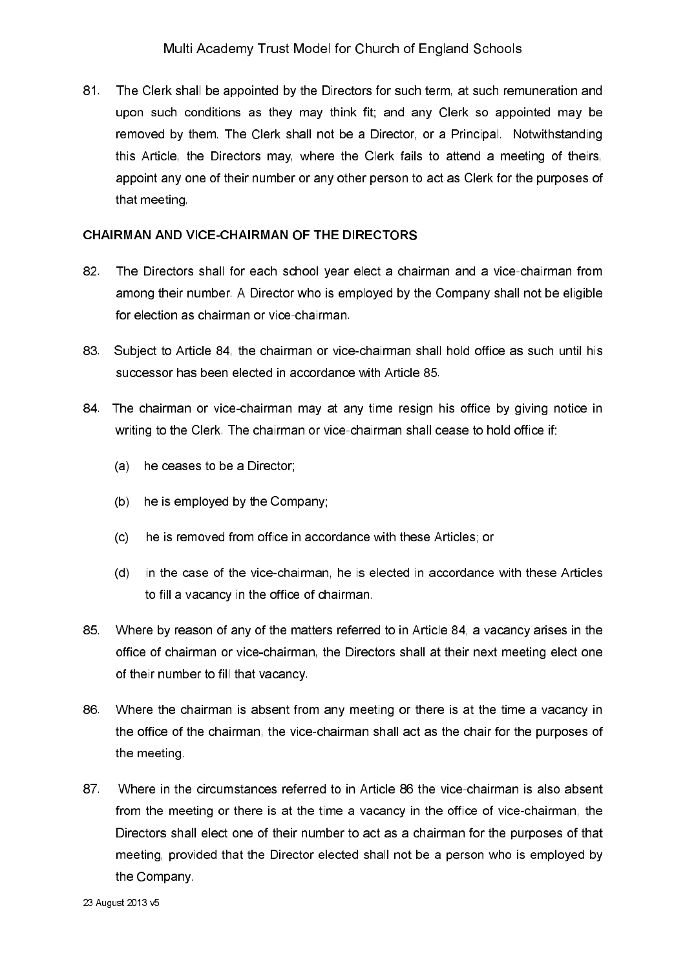81. The Clerk shall be appointed by the Directors for such term, at such remuneration and upon such conditions as they may think fit; and any Clerk so appointed may be removed by them. The Clerk shall not be a Director, or a Principal. Notwithstanding this Article, the Directors may, where the Clerk fails to attend a meeting of theirs, appoint any one of their number or any other person to act as Clerk for the purposes of that meeting

### CHAIRMAN AND VICE-CHAIRMAN OF THE DIRECTORS

- 82 The Directors shall for each school year elect a chairman and a vice-chairman from among their number. A Director who is employed by the Company shall not be eligible for election as chairman or vice-chairman.
- 83. Subject to Article 84, the chairman or vice-chairman shall hold office as such until his successor has been elected in accordance with Article 85.
- 84. The chairman or vice-chairman may at any time resign his office by giving notice in writing to the Clerk. The chairman or vice-chairman shall cease to hold office if:
	- (a) he ceases to be a Director;
	- (b) he is employed by the Company:
	- he is removed from office in accordance with these Articles: or  $(c)$
	- in the case of the vice-chairman, he is elected in accordance with these Articles  $(d)$ to fill a vacancy in the office of chairman.
- 85 Where by reason of any of the matters referred to in Article 84, a vacancy arises in the office of chairman or vice-chairman, the Directors shall at their next meeting elect one of their number to fill that vacancy.
- 86. Where the chairman is absent from any meeting or there is at the time a vacancy in the office of the chairman, the vice-chairman shall act as the chair for the purposes of the meeting.
- Where in the circumstances referred to in Article 86 the vice-chairman is also absent 87 from the meeting or there is at the time a vacancy in the office of vice-chairman, the Directors shall elect one of their number to act as a chairman for the purposes of that meeting, provided that the Director elected shall not be a person who is employed by the Company.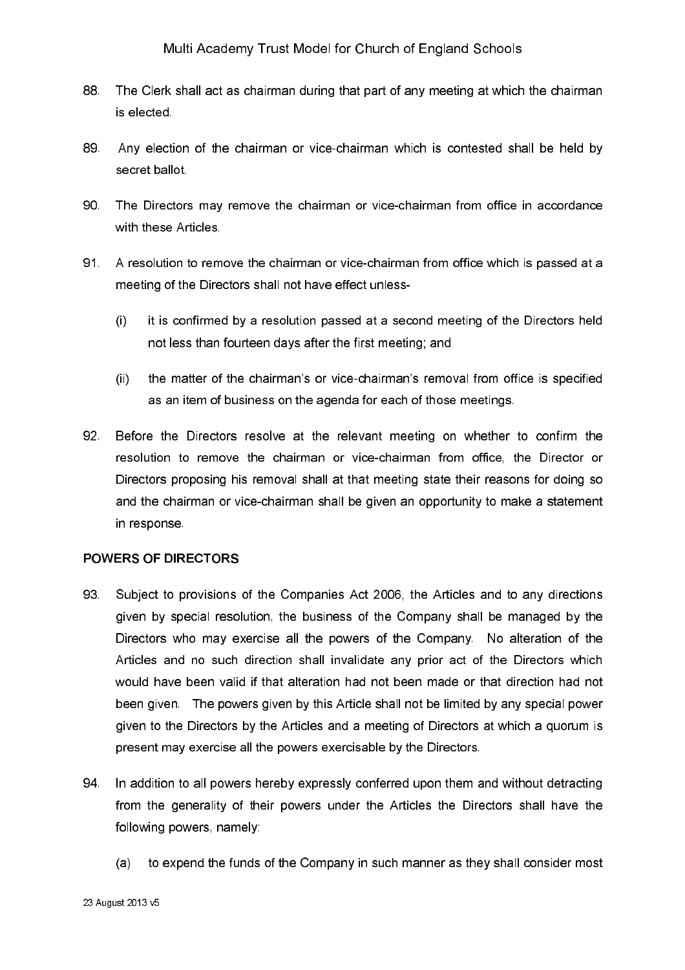- The Clerk shall act as chairman during that part of any meeting at which the chairman 88 is elected
- 89 Any election of the chairman or vice-chairman which is contested shall be held by secret ballot
- 90 The Directors may remove the chairman or vice-chairman from office in accordance with these Articles
- 91. A resolution to remove the chairman or vice-chairman from office which is passed at a meeting of the Directors shall not have effect unless-
	- $(i)$ it is confirmed by a resolution passed at a second meeting of the Directors held not less than fourteen days after the first meeting; and
	- the matter of the chairman's or vice-chairman's removal from office is specified  $(i)$ as an item of business on the agenda for each of those meetings.
- 92 Before the Directors resolve at the relevant meeting on whether to confirm the resolution to remove the chairman or vice-chairman from office, the Director or Directors proposing his removal shall at that meeting state their reasons for doing so and the chairman or vice-chairman shall be given an opportunity to make a statement in response

### **POWERS OF DIRECTORS**

- 93 Subject to provisions of the Companies Act 2006, the Articles and to any directions given by special resolution, the business of the Company shall be managed by the Directors who may exercise all the powers of the Company. No alteration of the Articles and no such direction shall invalidate any prior act of the Directors which would have been valid if that alteration had not been made or that direction had not been given. The powers given by this Article shall not be limited by any special power given to the Directors by the Articles and a meeting of Directors at which a guorum is present may exercise all the powers exercisable by the Directors.
- 94. In addition to all powers hereby expressly conferred upon them and without detracting from the generality of their powers under the Articles the Directors shall have the following powers, namely:
	- to expend the funds of the Company in such manner as they shall consider most  $(a)$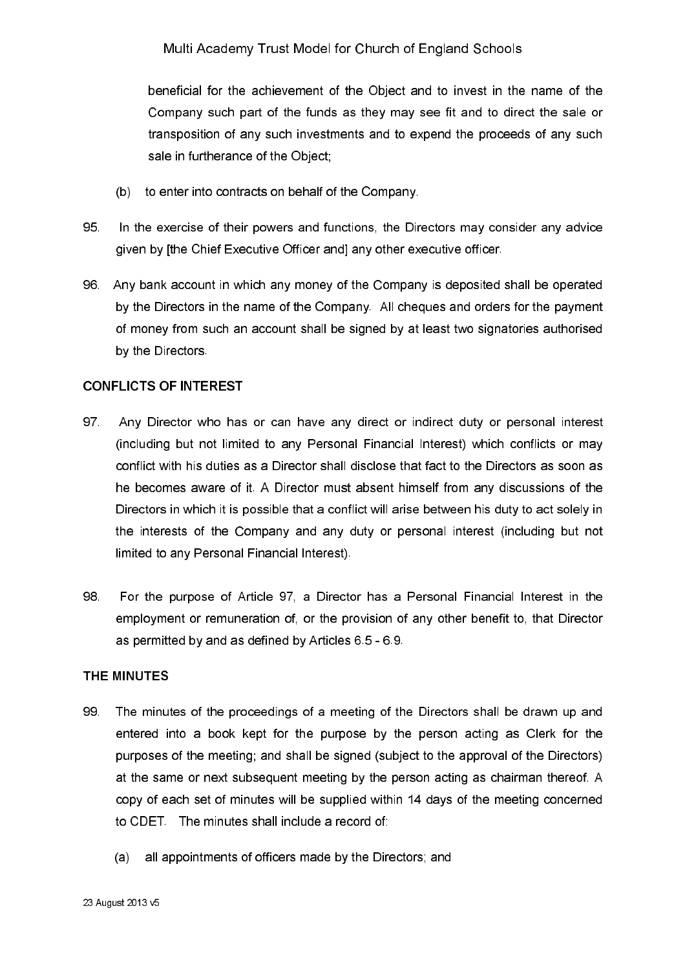beneficial for the achievement of the Object and to invest in the name of the Company such part of the funds as they may see fit and to direct the sale or transposition of any such investments and to expend the proceeds of any such sale in furtherance of the Object;

- (b) to enter into contracts on behalf of the Company.
- 95. In the exercise of their powers and functions, the Directors may consider any advice given by Ithe Chief Executive Officer and any other executive officer.
- 96. Any bank account in which any money of the Company is deposited shall be operated by the Directors in the name of the Company. All cheques and orders for the payment of money from such an account shall be signed by at least two signatories authorised by the Directors.

### **CONFLICTS OF INTEREST**

- 97 Any Director who has or can have any direct or indirect duty or personal interest (including but not limited to any Personal Financial Interest) which conflicts or may conflict with his duties as a Director shall disclose that fact to the Directors as soon as he becomes aware of it. A Director must absent himself from any discussions of the Directors in which it is possible that a conflict will arise between his duty to act solely in the interests of the Company and any duty or personal interest (including but not limited to any Personal Financial Interest).
- 98 For the purpose of Article 97, a Director has a Personal Financial Interest in the employment or remuneration of, or the provision of any other benefit to, that Director as permitted by and as defined by Articles 6.5 - 6.9.

#### THE MINUTES

- The minutes of the proceedings of a meeting of the Directors shall be drawn up and 99. entered into a book kept for the purpose by the person acting as Clerk for the purposes of the meeting; and shall be signed (subject to the approval of the Directors) at the same or next subsequent meeting by the person acting as chairman thereof. A copy of each set of minutes will be supplied within 14 days of the meeting concerned to CDET. The minutes shall include a record of:
	- all appointments of officers made by the Directors; and  $(a)$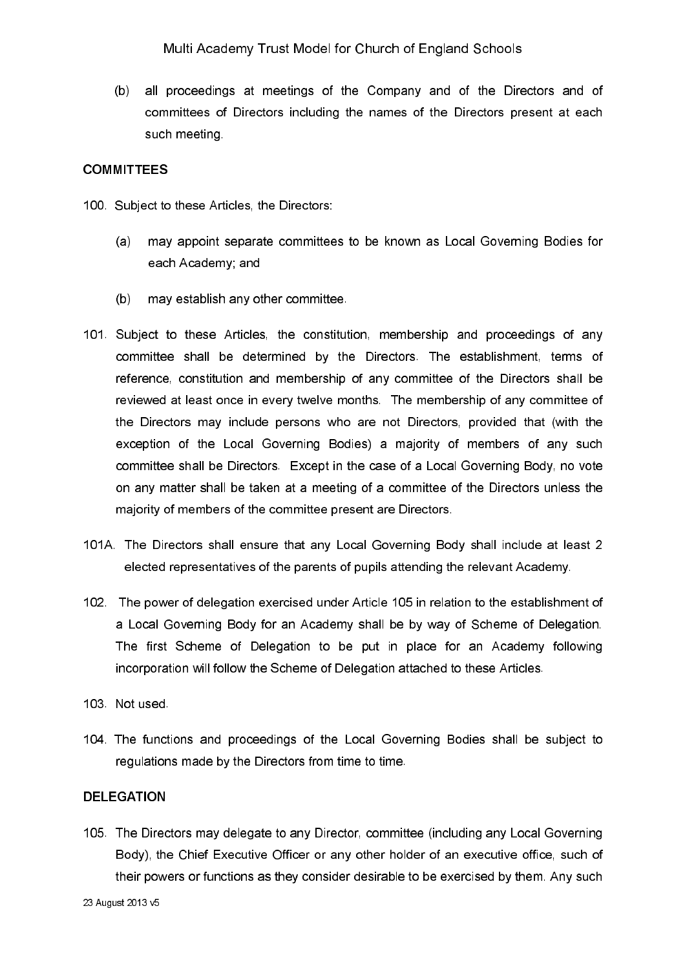$(b)$ all proceedings at meetings of the Company and of the Directors and of committees of Directors including the names of the Directors present at each such meeting.

### **COMMITTEES**

- 100. Subject to these Articles, the Directors:
	- may appoint separate committees to be known as Local Governing Bodies for  $(a)$ each Academy: and
	- $(b)$ may establish any other committee.
- 101. Subject to these Articles, the constitution, membership and proceedings of any committee shall be determined by the Directors. The establishment, terms of reference, constitution and membership of any committee of the Directors shall be reviewed at least once in every twelve months. The membership of any committee of the Directors may include persons who are not Directors, provided that (with the exception of the Local Governing Bodies) a majority of members of any such committee shall be Directors. Except in the case of a Local Governing Body, no vote on any matter shall be taken at a meeting of a committee of the Directors unless the majority of members of the committee present are Directors.
- 101A. The Directors shall ensure that any Local Governing Body shall include at least 2 elected representatives of the parents of pupils attending the relevant Academy.
- 102. The power of delegation exercised under Article 105 in relation to the establishment of a Local Governing Body for an Academy shall be by way of Scheme of Delegation. The first Scheme of Delegation to be put in place for an Academy following incorporation will follow the Scheme of Delegation attached to these Articles.
- 103 Not used
- 104. The functions and proceedings of the Local Governing Bodies shall be subject to regulations made by the Directors from time to time.

### **DELEGATION**

105. The Directors may delegate to any Director, committee (including any Local Governing Body), the Chief Executive Officer or any other holder of an executive office, such of their powers or functions as they consider desirable to be exercised by them. Any such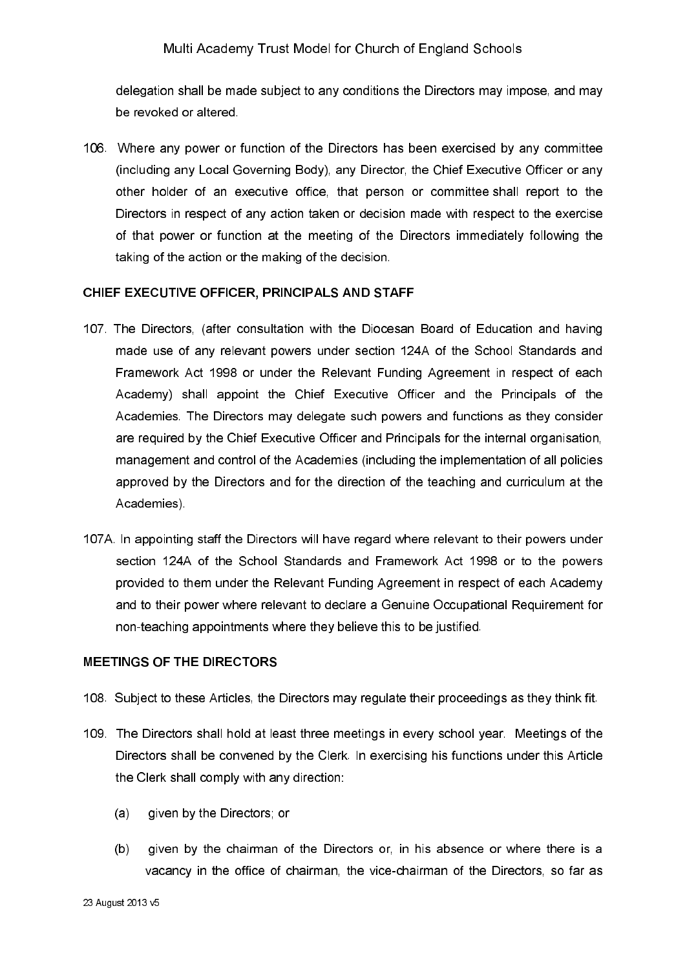delegation shall be made subject to any conditions the Directors may impose, and may be revoked or altered.

106. Where any power or function of the Directors has been exercised by any committee (including any Local Governing Body), any Director, the Chief Executive Officer or any other holder of an executive office, that person or committee shall report to the Directors in respect of any action taken or decision made with respect to the exercise of that power or function at the meeting of the Directors immediately following the taking of the action or the making of the decision.

#### CHIEF EXECUTIVE OFFICER, PRINCIPALS AND STAFF

- 107. The Directors, (after consultation with the Diocesan Board of Education and having made use of any relevant powers under section 124A of the School Standards and Framework Act 1998 or under the Relevant Funding Agreement in respect of each Academy) shall appoint the Chief Executive Officer and the Principals of the Academies. The Directors may delegate such powers and functions as they consider are required by the Chief Executive Officer and Principals for the internal organisation. management and control of the Academies (including the implementation of all policies approved by the Directors and for the direction of the teaching and curriculum at the Academies)
- 107A. In appointing staff the Directors will have regard where relevant to their powers under section 124A of the School Standards and Framework Act 1998 or to the powers provided to them under the Relevant Funding Agreement in respect of each Academy and to their power where relevant to declare a Genuine Occupational Requirement for non-teaching appointments where they believe this to be justified.

#### MEETINGS OF THE DIRECTORS

- 108. Subject to these Articles, the Directors may regulate their proceedings as they think fit.
- 109. The Directors shall hold at least three meetings in every school year. Meetings of the Directors shall be convened by the Clerk. In exercising his functions under this Article the Clerk shall comply with any direction:
	- $(a)$ given by the Directors; or
	- given by the chairman of the Directors or, in his absence or where there is a  $(b)$ vacancy in the office of chairman, the vice-chairman of the Directors, so far as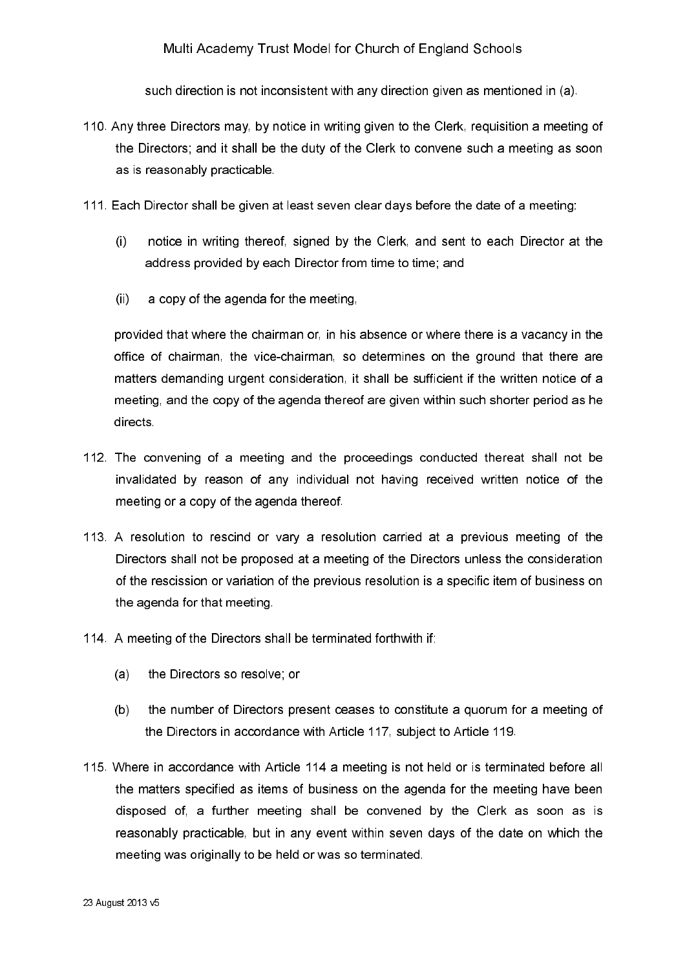such direction is not inconsistent with any direction given as mentioned in (a).

- 110. Any three Directors may, by notice in writing given to the Clerk, requisition a meeting of the Directors: and it shall be the duty of the Clerk to convene such a meeting as soon as is reasonably practicable.
- 111. Each Director shall be given at least seven clear days before the date of a meeting:
	- $(i)$ notice in writing thereof, signed by the Clerk, and sent to each Director at the address provided by each Director from time to time; and
	- $(ii)$ a copy of the agenda for the meeting,

provided that where the chairman or, in his absence or where there is a vacancy in the office of chairman, the vice-chairman, so determines on the ground that there are matters demanding urgent consideration, it shall be sufficient if the written notice of a meeting, and the copy of the agenda thereof are given within such shorter period as he directs

- 112. The convening of a meeting and the proceedings conducted thereat shall not be invalidated by reason of any individual not having received written notice of the meeting or a copy of the agenda thereof.
- 113. A resolution to rescind or vary a resolution carried at a previous meeting of the Directors shall not be proposed at a meeting of the Directors unless the consideration of the rescission or variation of the previous resolution is a specific item of business on the agenda for that meeting.
- 114. A meeting of the Directors shall be terminated forthwith if:
	- $(a)$ the Directors so resolve; or
	- the number of Directors present ceases to constitute a quorum for a meeting of  $(b)$ the Directors in accordance with Article 117, subject to Article 119.
- 115. Where in accordance with Article 114 a meeting is not held or is terminated before all the matters specified as items of business on the agenda for the meeting have been disposed of, a further meeting shall be convened by the Clerk as soon as is reasonably practicable, but in any event within seven days of the date on which the meeting was originally to be held or was so terminated.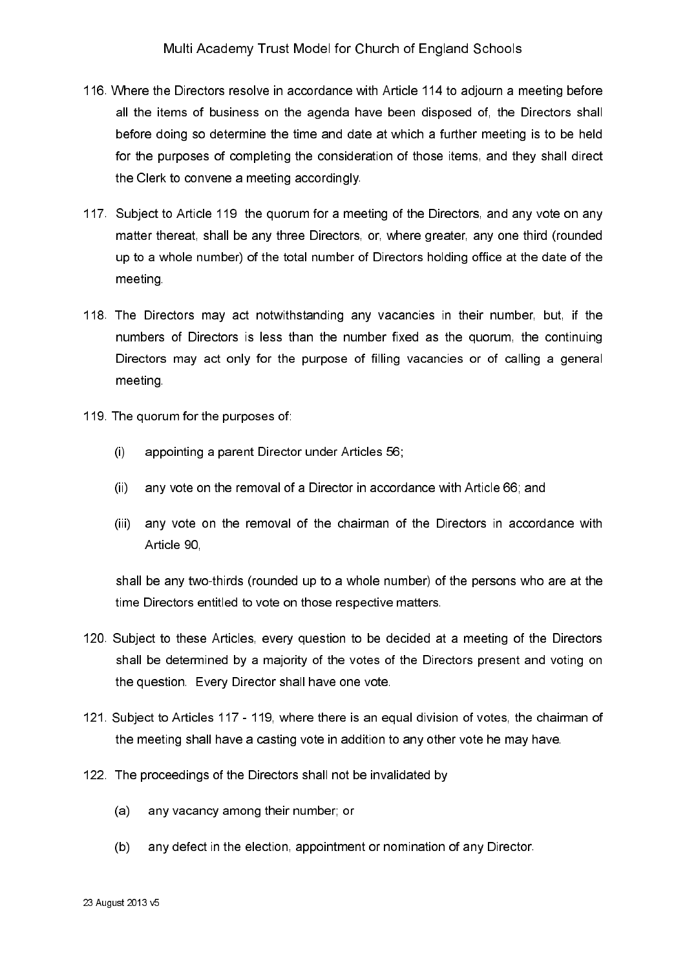- 116. Where the Directors resolve in accordance with Article 114 to adjourn a meeting before all the items of business on the agenda have been disposed of, the Directors shall before doing so determine the time and date at which a further meeting is to be held for the purposes of completing the consideration of those items, and they shall direct the Clerk to convene a meeting accordingly.
- 117. Subject to Article 119 the quorum for a meeting of the Directors, and any vote on any matter thereat, shall be any three Directors, or, where greater, any one third (rounded up to a whole number) of the total number of Directors holding office at the date of the meeting.
- 118. The Directors may act notwithstanding any vacancies in their number, but, if the numbers of Directors is less than the number fixed as the quorum, the continuing Directors may act only for the purpose of filling vacancies or of calling a general meeting.
- 119. The quorum for the purposes of:
	- $(i)$ appointing a parent Director under Articles 56;
	- $(ii)$ any vote on the removal of a Director in accordance with Article 66; and
	- any vote on the removal of the chairman of the Directors in accordance with  $(iii)$ Article 90,

shall be any two-thirds (rounded up to a whole number) of the persons who are at the time Directors entitled to vote on those respective matters.

- 120. Subject to these Articles, every question to be decided at a meeting of the Directors shall be determined by a majority of the votes of the Directors present and voting on the question. Every Director shall have one vote.
- 121. Subject to Articles 117 119, where there is an equal division of votes, the chairman of the meeting shall have a casting vote in addition to any other vote he may have.
- 122. The proceedings of the Directors shall not be invalidated by
	- $(a)$ any vacancy among their number; or
	- $(b)$ any defect in the election, appointment or nomination of any Director.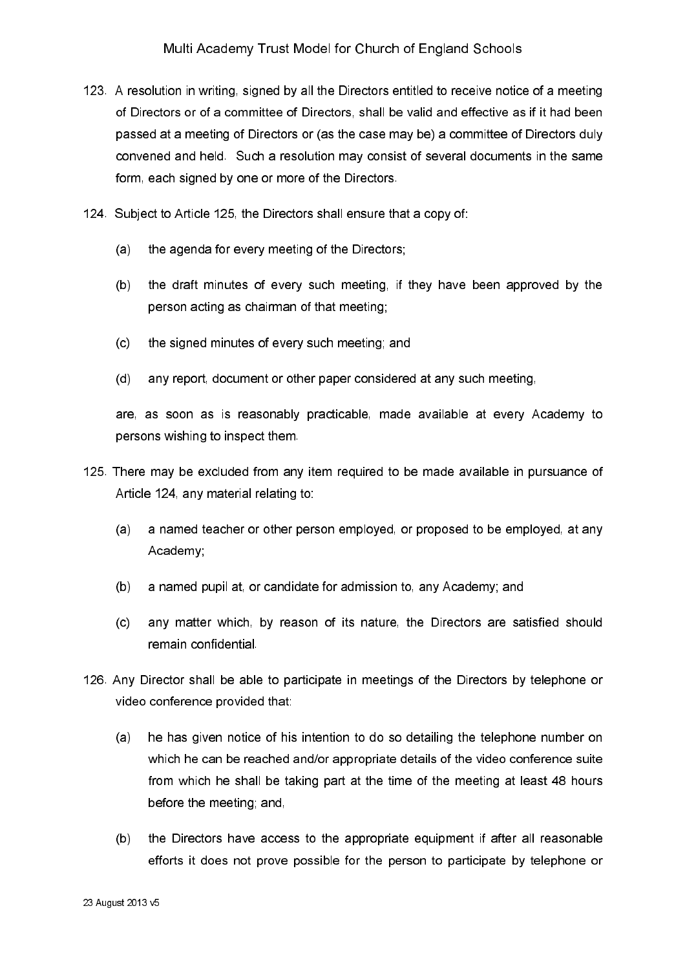- 123. A resolution in writing, signed by all the Directors entitled to receive notice of a meeting of Directors or of a committee of Directors, shall be valid and effective as if it had been passed at a meeting of Directors or (as the case may be) a committee of Directors duly convened and held. Such a resolution may consist of several documents in the same form, each signed by one or more of the Directors.
- 124. Subject to Article 125, the Directors shall ensure that a copy of:
	- the agenda for every meeting of the Directors:  $(a)$
	- the draft minutes of every such meeting, if they have been approved by the  $(b)$ person acting as chairman of that meeting;
	- the signed minutes of every such meeting; and  $(c)$
	- any report, document or other paper considered at any such meeting.  $(d)$

are, as soon as is reasonably practicable, made available at every Academy to persons wishing to inspect them.

- 125. There may be excluded from any item required to be made available in pursuance of Article 124, any material relating to:
	- a named teacher or other person employed, or proposed to be employed, at any  $(a)$ Academy:
	- a named pupil at, or candidate for admission to, any Academy; and  $(b)$
	- $(c)$ any matter which, by reason of its nature, the Directors are satisfied should remain confidential.
- 126. Any Director shall be able to participate in meetings of the Directors by telephone or video conference provided that:
	- he has given notice of his intention to do so detailing the telephone number on  $(a)$ which he can be reached and/or appropriate details of the video conference suite from which he shall be taking part at the time of the meeting at least 48 hours before the meeting: and.
	- $(b)$ the Directors have access to the appropriate equipment if after all reasonable efforts it does not prove possible for the person to participate by telephone or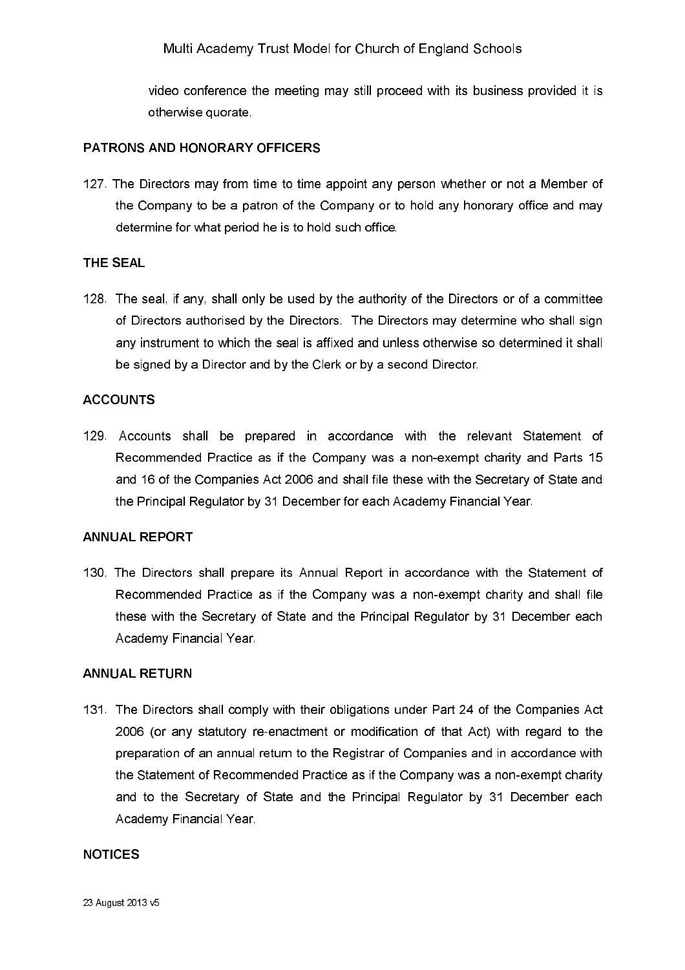video conference the meeting may still proceed with its business provided it is otherwise quorate

#### PATRONS AND HONORARY OFFICERS

127. The Directors may from time to time appoint any person whether or not a Member of the Company to be a patron of the Company or to hold any honorary office and may determine for what period he is to hold such office.

#### THE SEAL

128. The seal, if any, shall only be used by the authority of the Directors or of a committee of Directors authorised by the Directors. The Directors may determine who shall sign any instrument to which the seal is affixed and unless otherwise so determined it shall be signed by a Director and by the Clerk or by a second Director.

### **ACCOUNTS**

129. Accounts shall be prepared in accordance with the relevant Statement of Recommended Practice as if the Company was a non-exempt charity and Parts 15 and 16 of the Companies Act 2006 and shall file these with the Secretary of State and the Principal Regulator by 31 December for each Academy Financial Year.

#### **ANNUAL REPORT**

130. The Directors shall prepare its Annual Report in accordance with the Statement of Recommended Practice as if the Company was a non-exempt charity and shall file these with the Secretary of State and the Principal Regulator by 31 December each Academy Financial Year.

#### **ANNUAL RETURN**

131. The Directors shall comply with their obligations under Part 24 of the Companies Act 2006 (or any statutory re-enactment or modification of that Act) with regard to the preparation of an annual return to the Registrar of Companies and in accordance with the Statement of Recommended Practice as if the Company was a non-exempt charity and to the Secretary of State and the Principal Regulator by 31 December each Academy Financial Year.

#### **NOTICES**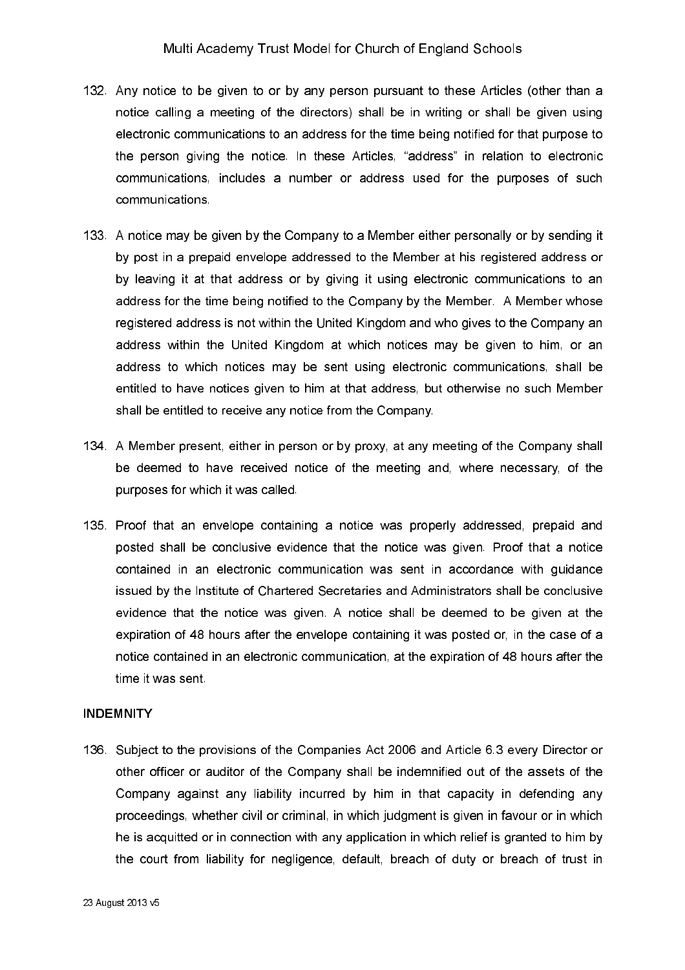- 132. Any notice to be given to or by any person pursuant to these Articles (other than a notice calling a meeting of the directors) shall be in writing or shall be given using electronic communications to an address for the time being notified for that purpose to the person giving the notice. In these Articles, "address" in relation to electronic communications, includes a number or address used for the purposes of such communications
- 133. A notice may be given by the Company to a Member either personally or by sending it by post in a prepaid envelope addressed to the Member at his registered address or by leaving it at that address or by giving it using electronic communications to an address for the time being notified to the Company by the Member. A Member whose registered address is not within the United Kingdom and who gives to the Company an address within the United Kingdom at which notices may be given to him, or an address to which notices may be sent using electronic communications, shall be entitled to have notices given to him at that address, but otherwise no such Member shall be entitled to receive any notice from the Company.
- 134. A Member present, either in person or by proxy, at any meeting of the Company shall be deemed to have received notice of the meeting and, where necessary, of the purposes for which it was called.
- 135. Proof that an envelope containing a notice was properly addressed, prepaid and posted shall be conclusive evidence that the notice was given. Proof that a notice contained in an electronic communication was sent in accordance with quidance issued by the Institute of Chartered Secretaries and Administrators shall be conclusive evidence that the notice was given. A notice shall be deemed to be given at the expiration of 48 hours after the envelope containing it was posted or, in the case of a notice contained in an electronic communication, at the expiration of 48 hours after the time it was sent

#### **INDEMNITY**

136. Subject to the provisions of the Companies Act 2006 and Article 6.3 every Director or other officer or auditor of the Company shall be indemnified out of the assets of the Company against any liability incurred by him in that capacity in defending any proceedings, whether civil or criminal, in which judgment is given in favour or in which he is acquitted or in connection with any application in which relief is granted to him by the court from liability for negligence, default, breach of duty or breach of trust in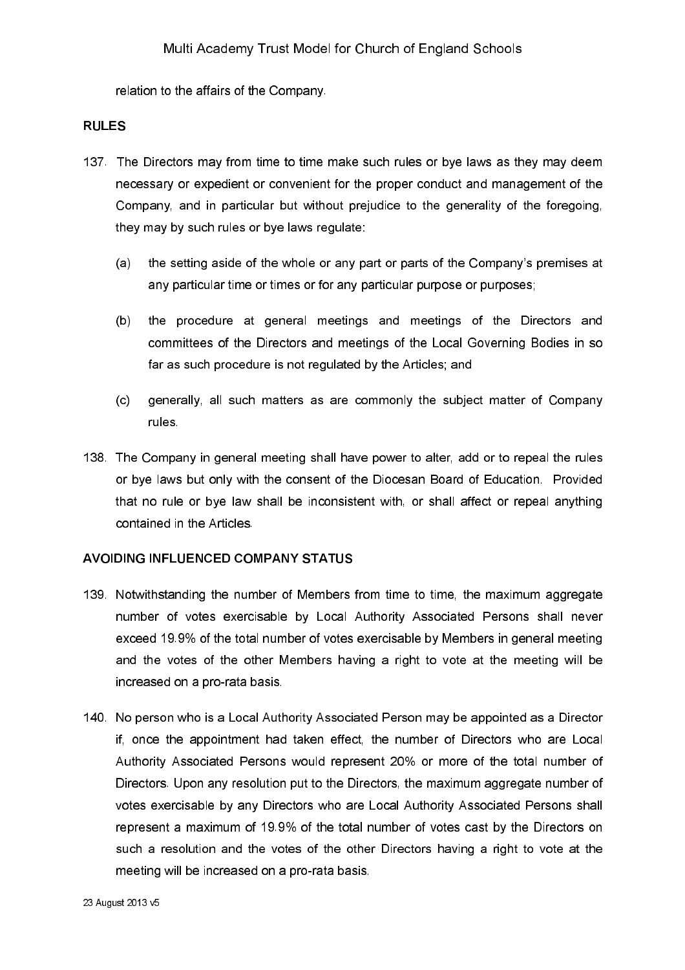relation to the affairs of the Company.

#### **RULES**

- 137. The Directors may from time to time make such rules or bye laws as they may deem necessary or expedient or convenient for the proper conduct and management of the Company, and in particular but without prejudice to the generality of the foregoing, they may by such rules or bye laws regulate:
	- the setting aside of the whole or any part or parts of the Company's premises at  $(a)$ any particular time or times or for any particular purpose or purposes;
	- $(b)$ the procedure at general meetings and meetings of the Directors and committees of the Directors and meetings of the Local Governing Bodies in so far as such procedure is not regulated by the Articles; and
	- generally, all such matters as are commonly the subject matter of Company  $(c)$ rules.
- 138. The Company in general meeting shall have power to alter, add or to repeal the rules or bye laws but only with the consent of the Diocesan Board of Education. Provided that no rule or bye law shall be inconsistent with, or shall affect or repeal anything contained in the Articles.

#### AVOIDING INFLUENCED COMPANY STATUS

- 139. Notwithstanding the number of Members from time to time, the maximum aggregate number of votes exercisable by Local Authority Associated Persons shall never exceed 19.9% of the total number of votes exercisable by Members in general meeting and the votes of the other Members having a right to vote at the meeting will be increased on a pro-rata basis.
- 140. No person who is a Local Authority Associated Person may be appointed as a Director if, once the appointment had taken effect, the number of Directors who are Local Authority Associated Persons would represent 20% or more of the total number of Directors. Upon any resolution put to the Directors, the maximum aggregate number of votes exercisable by any Directors who are Local Authority Associated Persons shall represent a maximum of 19.9% of the total number of votes cast by the Directors on such a resolution and the votes of the other Directors having a right to vote at the meeting will be increased on a pro-rata basis.